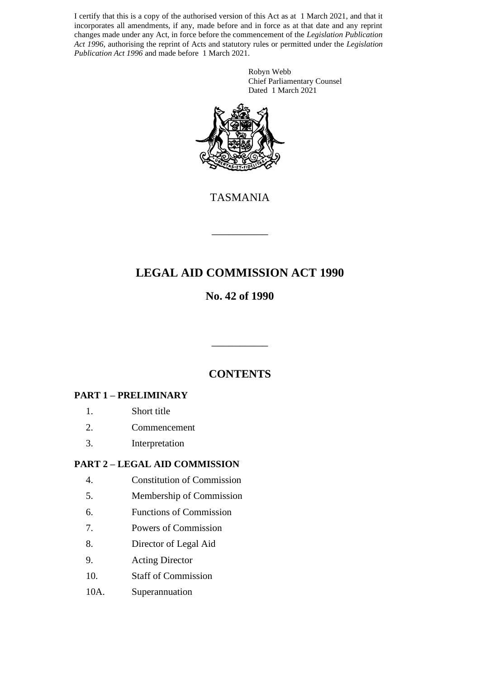I certify that this is a copy of the authorised version of this Act as at 1 March 2021, and that it incorporates all amendments, if any, made before and in force as at that date and any reprint changes made under any Act, in force before the commencement of the *Legislation Publication Act 1996*, authorising the reprint of Acts and statutory rules or permitted under the *Legislation Publication Act 1996* and made before 1 March 2021.

> Robyn Webb Chief Parliamentary Counsel Dated 1 March 2021



TASMANIA

\_\_\_\_\_\_\_\_\_\_

# **LEGAL AID COMMISSION ACT 1990**

## **No. 42 of 1990**

## **CONTENTS**

\_\_\_\_\_\_\_\_\_\_

### **PART 1 – PRELIMINARY**

- 1. Short title
- 2. Commencement
- 3. Interpretation

### **PART 2 – LEGAL AID COMMISSION**

- 4. Constitution of Commission
- 5. Membership of Commission
- 6. Functions of Commission
- 7. Powers of Commission
- 8. Director of Legal Aid
- 9. Acting Director
- 10. Staff of Commission
- 10A. Superannuation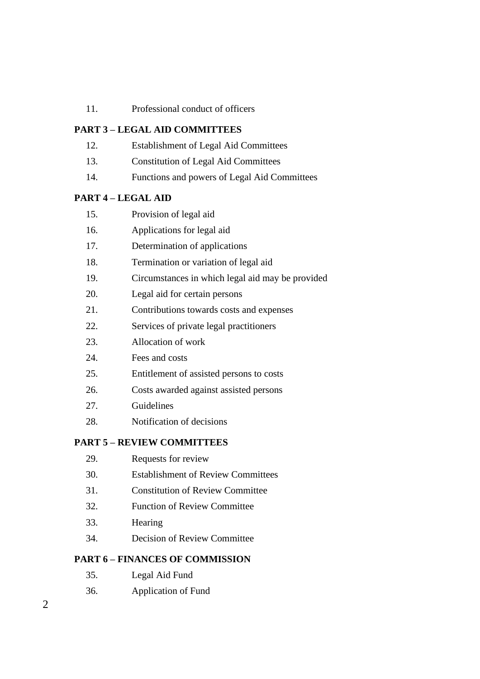11. Professional conduct of officers

#### **PART 3 – LEGAL AID COMMITTEES**

- 12. Establishment of Legal Aid Committees
- 13. Constitution of Legal Aid Committees
- 14. Functions and powers of Legal Aid Committees

#### **PART 4 – LEGAL AID**

- 15. Provision of legal aid
- 16. Applications for legal aid
- 17. Determination of applications
- 18. Termination or variation of legal aid
- 19. Circumstances in which legal aid may be provided
- 20. Legal aid for certain persons
- 21. Contributions towards costs and expenses
- 22. Services of private legal practitioners
- 23. Allocation of work
- 24. Fees and costs
- 25. Entitlement of assisted persons to costs
- 26. Costs awarded against assisted persons
- 27. Guidelines
- 28. Notification of decisions

#### **PART 5 – REVIEW COMMITTEES**

- 29. Requests for review
- 30. Establishment of Review Committees
- 31. Constitution of Review Committee
- 32. Function of Review Committee
- 33. Hearing
- 34. Decision of Review Committee

#### **PART 6 – FINANCES OF COMMISSION**

- 35. Legal Aid Fund
- 36. Application of Fund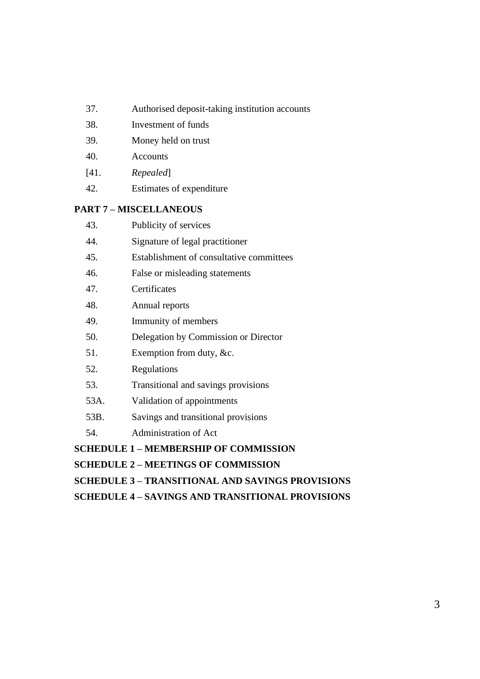- 37. Authorised deposit-taking institution accounts
- 38. Investment of funds
- 39. Money held on trust
- 40. Accounts
- [41. *Repealed*]
- 42. Estimates of expenditure

### **PART 7 – MISCELLANEOUS**

| 43.  | Publicity of services                        |
|------|----------------------------------------------|
| 44.  | Signature of legal practitioner              |
| 45.  | Establishment of consultative committees     |
| 46.  | False or misleading statements               |
| 47.  | Certificates                                 |
| 48.  | Annual reports                               |
| 49.  | Immunity of members                          |
| 50.  | Delegation by Commission or Director         |
| 51.  | Exemption from duty, $&c.$                   |
| 52.  | Regulations                                  |
| 53.  | Transitional and savings provisions          |
| 53A. | Validation of appointments                   |
| 53B. | Savings and transitional provisions          |
| 54.  | <b>Administration of Act</b>                 |
|      | <b>SCHEDULE 1 – MEMBERSHIP OF COMMISSION</b> |

**SCHEDULE 2 – MEETINGS OF COMMISSION**

**SCHEDULE 3 – TRANSITIONAL AND SAVINGS PROVISIONS**

**SCHEDULE 4 – SAVINGS AND TRANSITIONAL PROVISIONS**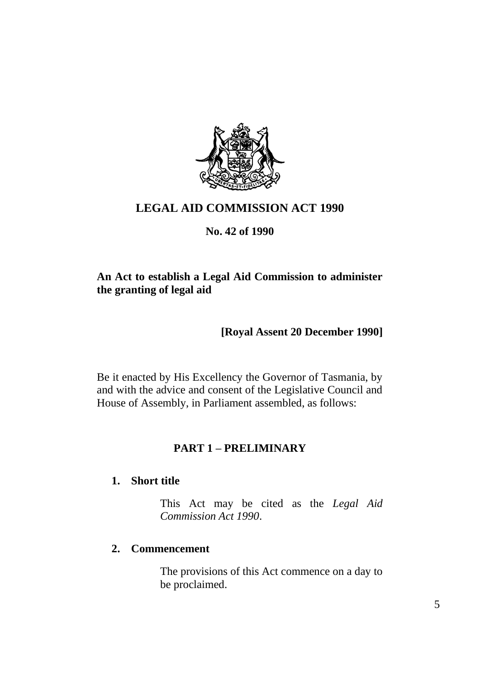

## **LEGAL AID COMMISSION ACT 1990**

### **No. 42 of 1990**

## **An Act to establish a Legal Aid Commission to administer the granting of legal aid**

## **[Royal Assent 20 December 1990]**

Be it enacted by His Excellency the Governor of Tasmania, by and with the advice and consent of the Legislative Council and House of Assembly, in Parliament assembled, as follows:

## **PART 1 – PRELIMINARY**

### **1. Short title**

This Act may be cited as the *Legal Aid Commission Act 1990*.

### **2. Commencement**

The provisions of this Act commence on a day to be proclaimed.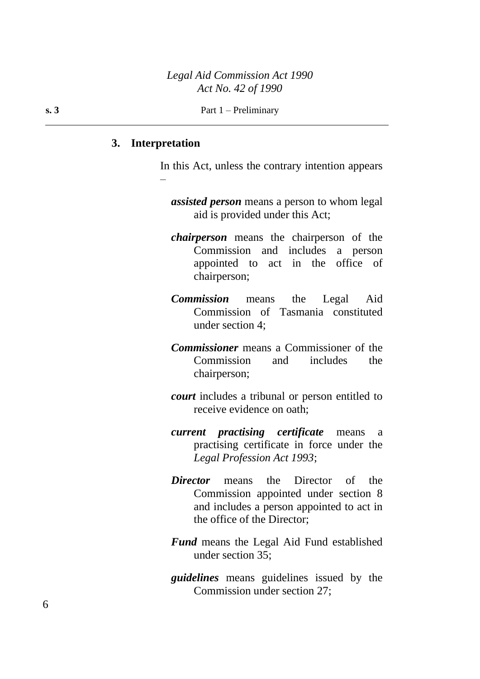#### **3. Interpretation**

–

In this Act, unless the contrary intention appears

*assisted person* means a person to whom legal aid is provided under this Act;

- *chairperson* means the chairperson of the Commission and includes a person appointed to act in the office of chairperson;
- *Commission* means the Legal Aid Commission of Tasmania constituted under section 4;
- *Commissioner* means a Commissioner of the Commission and includes the chairperson;
- *court* includes a tribunal or person entitled to receive evidence on oath;
- *current practising certificate* means a practising certificate in force under the *Legal Profession Act 1993*;
- *Director* means the Director of the Commission appointed under section 8 and includes a person appointed to act in the office of the Director;
- *Fund* means the Legal Aid Fund established under section 35;
- *guidelines* means guidelines issued by the Commission under section 27;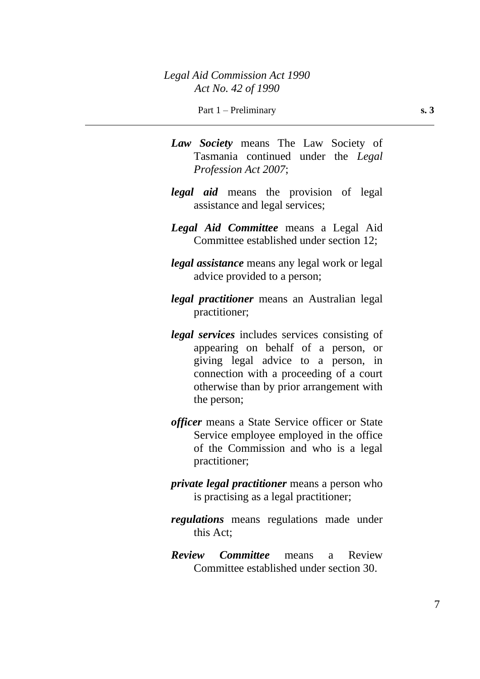- *Law Society* means The Law Society of Tasmania continued under the *Legal Profession Act 2007*;
- *legal aid* means the provision of legal assistance and legal services;
- *Legal Aid Committee* means a Legal Aid Committee established under section 12;
- *legal assistance* means any legal work or legal advice provided to a person;
- *legal practitioner* means an Australian legal practitioner;
- *legal services* includes services consisting of appearing on behalf of a person, or giving legal advice to a person, in connection with a proceeding of a court otherwise than by prior arrangement with the person;
- *officer* means a State Service officer or State Service employee employed in the office of the Commission and who is a legal practitioner;
- *private legal practitioner* means a person who is practising as a legal practitioner;
- *regulations* means regulations made under this Act;
- *Review Committee* means a Review Committee established under section 30.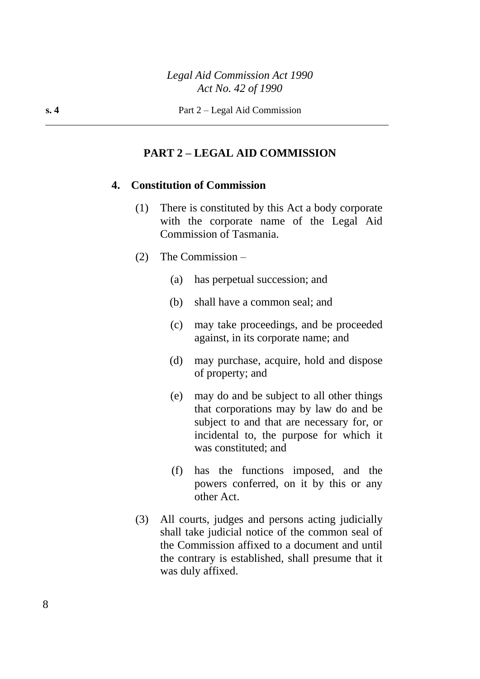### **PART 2 – LEGAL AID COMMISSION**

### **4. Constitution of Commission**

- (1) There is constituted by this Act a body corporate with the corporate name of the Legal Aid Commission of Tasmania.
- (2) The Commission
	- (a) has perpetual succession; and
	- (b) shall have a common seal; and
	- (c) may take proceedings, and be proceeded against, in its corporate name; and
	- (d) may purchase, acquire, hold and dispose of property; and
	- (e) may do and be subject to all other things that corporations may by law do and be subject to and that are necessary for, or incidental to, the purpose for which it was constituted; and
	- (f) has the functions imposed, and the powers conferred, on it by this or any other Act.
- (3) All courts, judges and persons acting judicially shall take judicial notice of the common seal of the Commission affixed to a document and until the contrary is established, shall presume that it was duly affixed.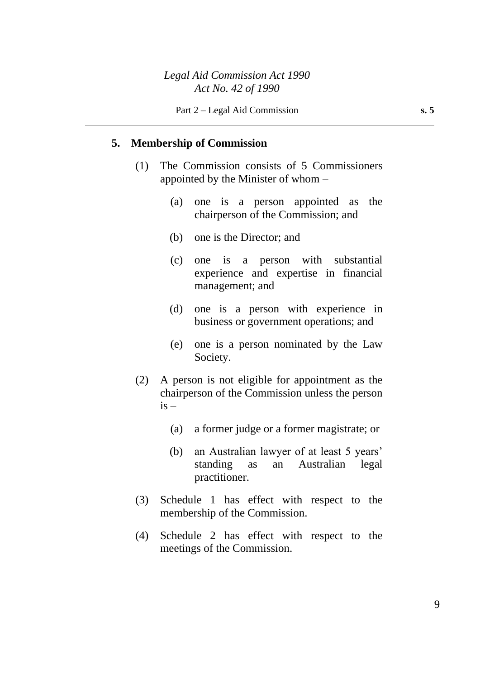## **5. Membership of Commission**

- (1) The Commission consists of 5 Commissioners appointed by the Minister of whom –
	- (a) one is a person appointed as the chairperson of the Commission; and
	- (b) one is the Director; and
	- (c) one is a person with substantial experience and expertise in financial management; and
	- (d) one is a person with experience in business or government operations; and
	- (e) one is a person nominated by the Law Society.
- (2) A person is not eligible for appointment as the chairperson of the Commission unless the person  $is -$ 
	- (a) a former judge or a former magistrate; or
	- (b) an Australian lawyer of at least 5 years' standing as an Australian legal practitioner.
- (3) Schedule 1 has effect with respect to the membership of the Commission.
- (4) Schedule 2 has effect with respect to the meetings of the Commission.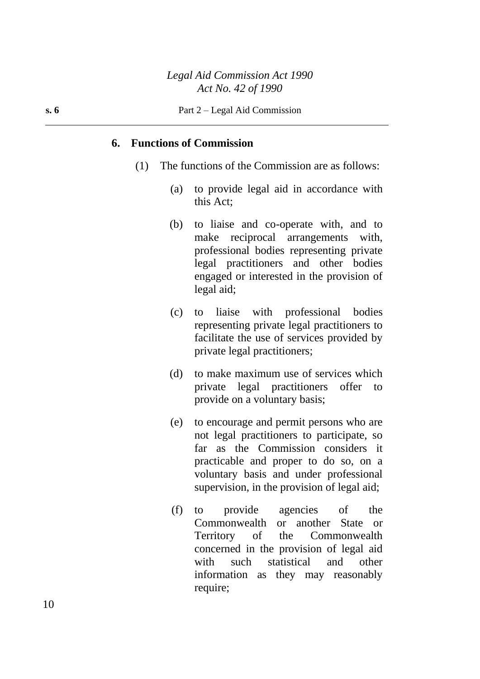#### **6. Functions of Commission**

- (1) The functions of the Commission are as follows:
	- (a) to provide legal aid in accordance with this Act;
	- (b) to liaise and co-operate with, and to make reciprocal arrangements with, professional bodies representing private legal practitioners and other bodies engaged or interested in the provision of legal aid;
	- (c) to liaise with professional bodies representing private legal practitioners to facilitate the use of services provided by private legal practitioners;
	- (d) to make maximum use of services which private legal practitioners offer to provide on a voluntary basis;
	- (e) to encourage and permit persons who are not legal practitioners to participate, so far as the Commission considers it practicable and proper to do so, on a voluntary basis and under professional supervision, in the provision of legal aid;
	- (f) to provide agencies of the Commonwealth or another State or Territory of the Commonwealth concerned in the provision of legal aid with such statistical and other information as they may reasonably require;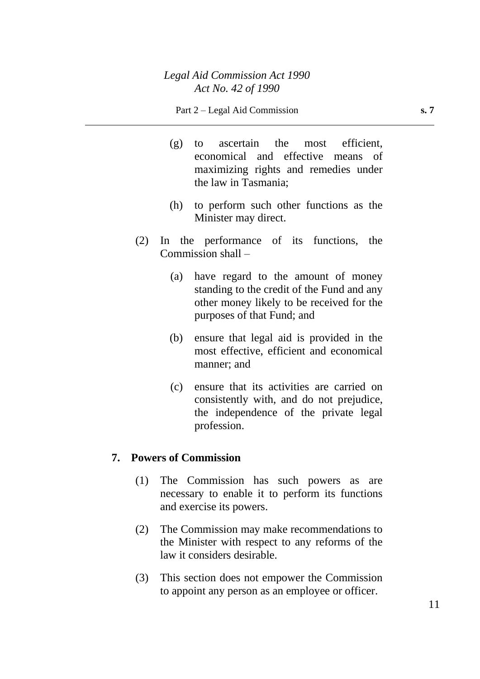- (g) to ascertain the most efficient, economical and effective means of maximizing rights and remedies under the law in Tasmania;
- (h) to perform such other functions as the Minister may direct.
- (2) In the performance of its functions, the Commission shall –
	- (a) have regard to the amount of money standing to the credit of the Fund and any other money likely to be received for the purposes of that Fund; and
	- (b) ensure that legal aid is provided in the most effective, efficient and economical manner; and
	- (c) ensure that its activities are carried on consistently with, and do not prejudice, the independence of the private legal profession.

### **7. Powers of Commission**

- (1) The Commission has such powers as are necessary to enable it to perform its functions and exercise its powers.
- (2) The Commission may make recommendations to the Minister with respect to any reforms of the law it considers desirable.
- (3) This section does not empower the Commission to appoint any person as an employee or officer.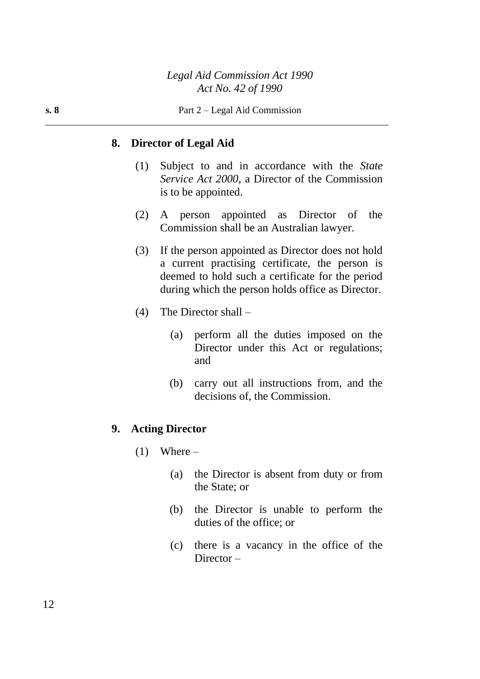#### **8. Director of Legal Aid**

- (1) Subject to and in accordance with the *State Service Act 2000*, a Director of the Commission is to be appointed.
- (2) A person appointed as Director of the Commission shall be an Australian lawyer.
- (3) If the person appointed as Director does not hold a current practising certificate, the person is deemed to hold such a certificate for the period during which the person holds office as Director.
- (4) The Director shall
	- (a) perform all the duties imposed on the Director under this Act or regulations; and
	- (b) carry out all instructions from, and the decisions of, the Commission.

#### **9. Acting Director**

- $(1)$  Where
	- (a) the Director is absent from duty or from the State; or
	- (b) the Director is unable to perform the duties of the office; or
	- (c) there is a vacancy in the office of the Director –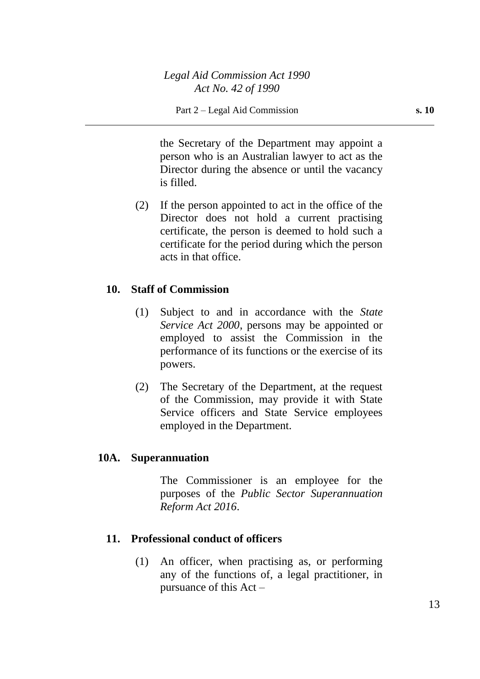the Secretary of the Department may appoint a person who is an Australian lawyer to act as the Director during the absence or until the vacancy is filled.

(2) If the person appointed to act in the office of the Director does not hold a current practising certificate, the person is deemed to hold such a certificate for the period during which the person acts in that office.

### **10. Staff of Commission**

- (1) Subject to and in accordance with the *State Service Act 2000*, persons may be appointed or employed to assist the Commission in the performance of its functions or the exercise of its powers.
- (2) The Secretary of the Department, at the request of the Commission, may provide it with State Service officers and State Service employees employed in the Department.

### **10A. Superannuation**

The Commissioner is an employee for the purposes of the *Public Sector Superannuation Reform Act 2016*.

### **11. Professional conduct of officers**

(1) An officer, when practising as, or performing any of the functions of, a legal practitioner, in pursuance of this Act –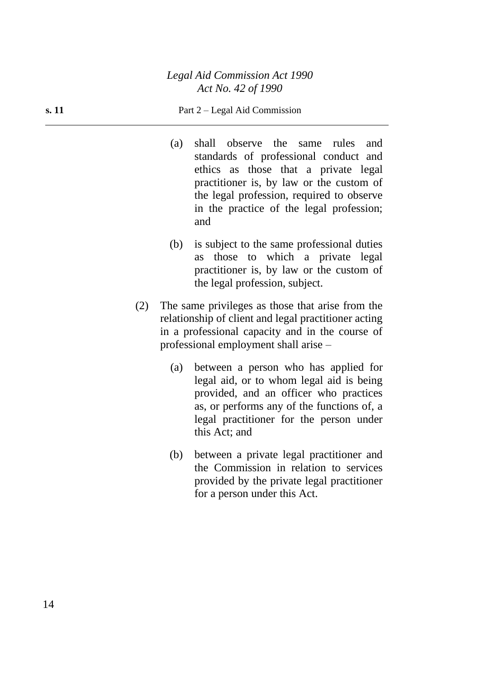#### **s. 11** Part 2 – Legal Aid Commission

- (a) shall observe the same rules and standards of professional conduct and ethics as those that a private legal practitioner is, by law or the custom of the legal profession, required to observe in the practice of the legal profession; and
- (b) is subject to the same professional duties as those to which a private legal practitioner is, by law or the custom of the legal profession, subject.
- (2) The same privileges as those that arise from the relationship of client and legal practitioner acting in a professional capacity and in the course of professional employment shall arise –
	- (a) between a person who has applied for legal aid, or to whom legal aid is being provided, and an officer who practices as, or performs any of the functions of, a legal practitioner for the person under this Act; and
	- (b) between a private legal practitioner and the Commission in relation to services provided by the private legal practitioner for a person under this Act.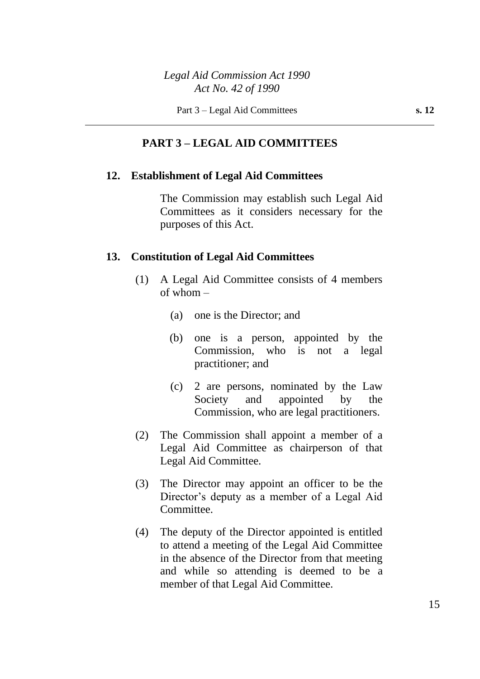### *Legal Aid Commission Act 1990 Act No. 42 of 1990*

### **PART 3 – LEGAL AID COMMITTEES**

#### **12. Establishment of Legal Aid Committees**

The Commission may establish such Legal Aid Committees as it considers necessary for the purposes of this Act.

#### **13. Constitution of Legal Aid Committees**

- (1) A Legal Aid Committee consists of 4 members of whom  $-$ 
	- (a) one is the Director; and
	- (b) one is a person, appointed by the Commission, who is not a legal practitioner; and
	- (c) 2 are persons, nominated by the Law Society and appointed by the Commission, who are legal practitioners.
- (2) The Commission shall appoint a member of a Legal Aid Committee as chairperson of that Legal Aid Committee.
- (3) The Director may appoint an officer to be the Director's deputy as a member of a Legal Aid Committee.
- (4) The deputy of the Director appointed is entitled to attend a meeting of the Legal Aid Committee in the absence of the Director from that meeting and while so attending is deemed to be a member of that Legal Aid Committee.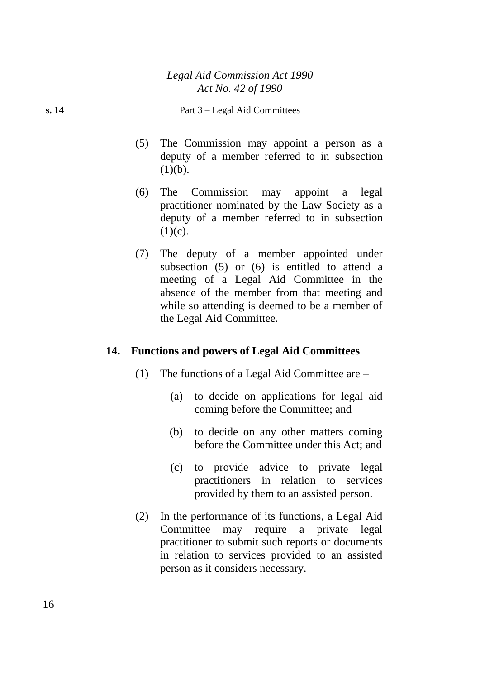- (5) The Commission may appoint a person as a deputy of a member referred to in subsection  $(1)(b)$ .
- (6) The Commission may appoint a legal practitioner nominated by the Law Society as a deputy of a member referred to in subsection  $(1)(c)$ .
- (7) The deputy of a member appointed under subsection (5) or (6) is entitled to attend a meeting of a Legal Aid Committee in the absence of the member from that meeting and while so attending is deemed to be a member of the Legal Aid Committee.

#### **14. Functions and powers of Legal Aid Committees**

- (1) The functions of a Legal Aid Committee are
	- (a) to decide on applications for legal aid coming before the Committee; and
	- (b) to decide on any other matters coming before the Committee under this Act; and
	- (c) to provide advice to private legal practitioners in relation to services provided by them to an assisted person.
- (2) In the performance of its functions, a Legal Aid Committee may require a private legal practitioner to submit such reports or documents in relation to services provided to an assisted person as it considers necessary.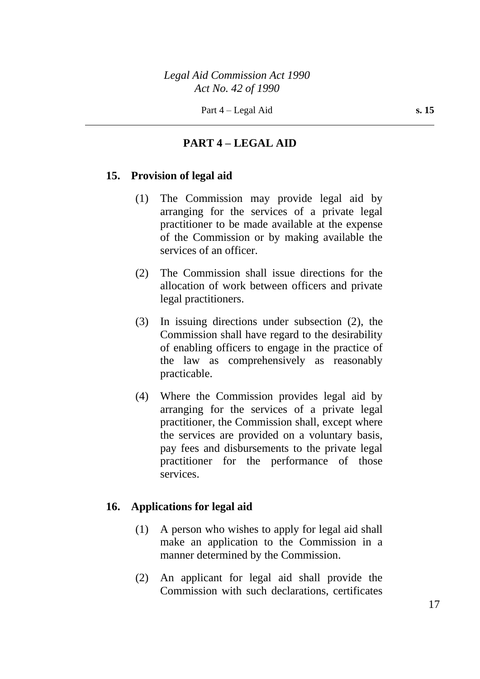### **PART 4 – LEGAL AID**

### **15. Provision of legal aid**

- (1) The Commission may provide legal aid by arranging for the services of a private legal practitioner to be made available at the expense of the Commission or by making available the services of an officer.
- (2) The Commission shall issue directions for the allocation of work between officers and private legal practitioners.
- (3) In issuing directions under subsection (2), the Commission shall have regard to the desirability of enabling officers to engage in the practice of the law as comprehensively as reasonably practicable.
- (4) Where the Commission provides legal aid by arranging for the services of a private legal practitioner, the Commission shall, except where the services are provided on a voluntary basis, pay fees and disbursements to the private legal practitioner for the performance of those services.

### **16. Applications for legal aid**

- (1) A person who wishes to apply for legal aid shall make an application to the Commission in a manner determined by the Commission.
- (2) An applicant for legal aid shall provide the Commission with such declarations, certificates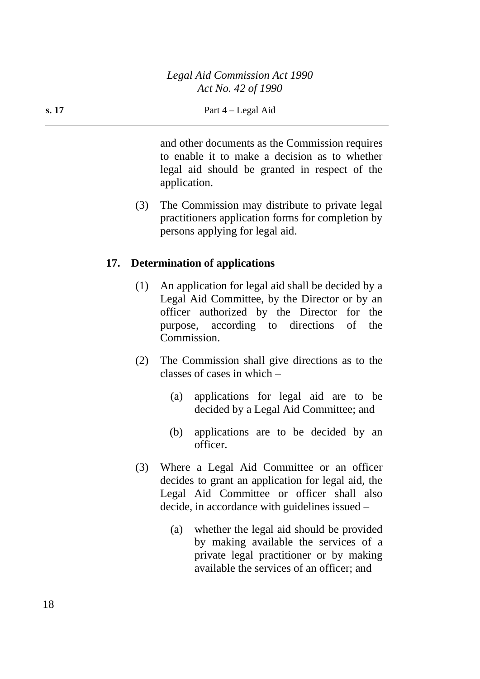and other documents as the Commission requires to enable it to make a decision as to whether legal aid should be granted in respect of the application.

(3) The Commission may distribute to private legal practitioners application forms for completion by persons applying for legal aid.

#### **17. Determination of applications**

- (1) An application for legal aid shall be decided by a Legal Aid Committee, by the Director or by an officer authorized by the Director for the purpose, according to directions of the Commission.
- (2) The Commission shall give directions as to the classes of cases in which –
	- (a) applications for legal aid are to be decided by a Legal Aid Committee; and
	- (b) applications are to be decided by an officer.
- (3) Where a Legal Aid Committee or an officer decides to grant an application for legal aid, the Legal Aid Committee or officer shall also decide, in accordance with guidelines issued –
	- (a) whether the legal aid should be provided by making available the services of a private legal practitioner or by making available the services of an officer; and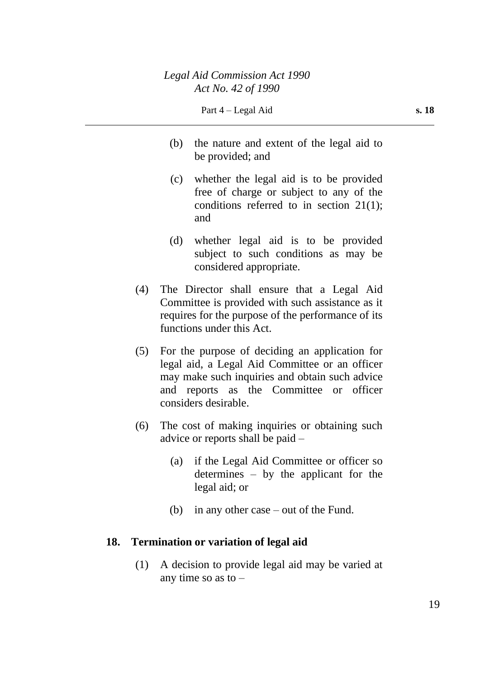- (b) the nature and extent of the legal aid to be provided; and
- (c) whether the legal aid is to be provided free of charge or subject to any of the conditions referred to in section 21(1); and
- (d) whether legal aid is to be provided subject to such conditions as may be considered appropriate.
- (4) The Director shall ensure that a Legal Aid Committee is provided with such assistance as it requires for the purpose of the performance of its functions under this Act.
- (5) For the purpose of deciding an application for legal aid, a Legal Aid Committee or an officer may make such inquiries and obtain such advice and reports as the Committee or officer considers desirable.
- (6) The cost of making inquiries or obtaining such advice or reports shall be paid –
	- (a) if the Legal Aid Committee or officer so determines – by the applicant for the legal aid; or
	- (b) in any other case out of the Fund.

### **18. Termination or variation of legal aid**

(1) A decision to provide legal aid may be varied at any time so as to  $-$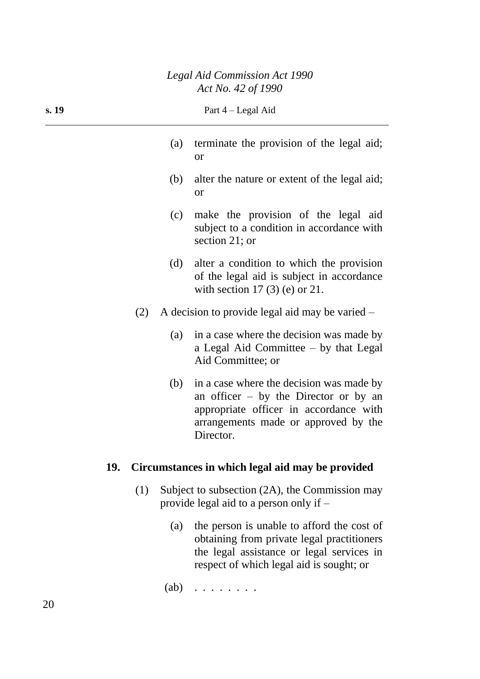### *Legal Aid Commission Act 1990 Act No. 42 of 1990*

| s. 19 | Part 4 – Legal Aid                                                                                                                                                                        |  |
|-------|-------------------------------------------------------------------------------------------------------------------------------------------------------------------------------------------|--|
|       | terminate the provision of the legal aid;<br>(a)<br><b>or</b>                                                                                                                             |  |
|       | (b)<br>alter the nature or extent of the legal aid;<br><b>or</b>                                                                                                                          |  |
|       | make the provision of the legal aid<br>(c)<br>subject to a condition in accordance with<br>section 21; or                                                                                 |  |
|       | alter a condition to which the provision<br>(d)<br>of the legal aid is subject in accordance<br>with section 17 $(3)$ (e) or 21.                                                          |  |
| (2)   | A decision to provide legal aid may be varied –                                                                                                                                           |  |
|       | in a case where the decision was made by<br>(a)<br>a Legal Aid Committee - by that Legal<br>Aid Committee; or                                                                             |  |
|       | in a case where the decision was made by<br>(b)<br>an officer $-$ by the Director or by an<br>appropriate officer in accordance with<br>arrangements made or approved by the<br>Director. |  |
| 19.   | Circumstances in which legal aid may be provided                                                                                                                                          |  |
| (1)   | Subject to subsection (2A), the Commission may<br>provide legal aid to a person only if –                                                                                                 |  |

(a) the person is unable to afford the cost of obtaining from private legal practitioners the legal assistance or legal services in respect of which legal aid is sought; or

(ab) . . . . . . . .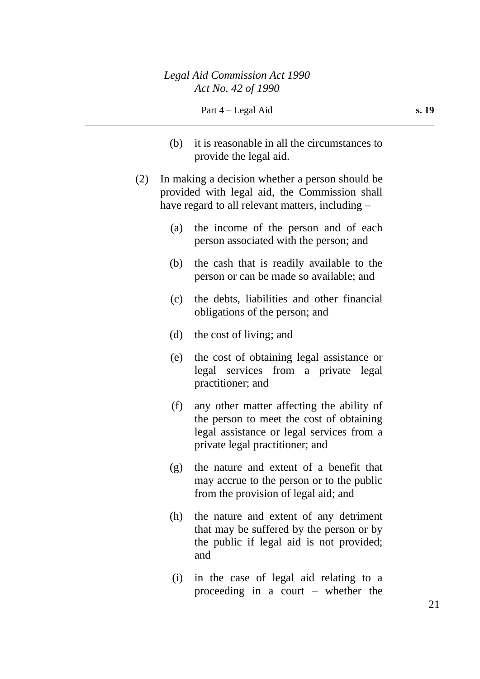- (b) it is reasonable in all the circumstances to provide the legal aid.
- (2) In making a decision whether a person should be provided with legal aid, the Commission shall have regard to all relevant matters, including –
	- (a) the income of the person and of each person associated with the person; and
	- (b) the cash that is readily available to the person or can be made so available; and
	- (c) the debts, liabilities and other financial obligations of the person; and
	- (d) the cost of living; and
	- (e) the cost of obtaining legal assistance or legal services from a private legal practitioner; and
	- (f) any other matter affecting the ability of the person to meet the cost of obtaining legal assistance or legal services from a private legal practitioner; and
	- (g) the nature and extent of a benefit that may accrue to the person or to the public from the provision of legal aid; and
	- (h) the nature and extent of any detriment that may be suffered by the person or by the public if legal aid is not provided; and
	- (i) in the case of legal aid relating to a proceeding in a court – whether the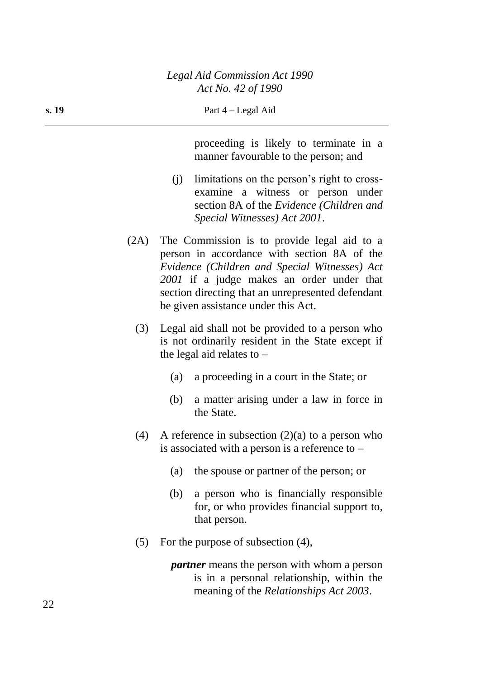proceeding is likely to terminate in a manner favourable to the person; and

- (j) limitations on the person's right to crossexamine a witness or person under section 8A of the *Evidence (Children and Special Witnesses) Act 2001*.
- (2A) The Commission is to provide legal aid to a person in accordance with section 8A of the *Evidence (Children and Special Witnesses) Act 2001* if a judge makes an order under that section directing that an unrepresented defendant be given assistance under this Act.
	- (3) Legal aid shall not be provided to a person who is not ordinarily resident in the State except if the legal aid relates to –
		- (a) a proceeding in a court in the State; or
		- (b) a matter arising under a law in force in the State.
	- (4) A reference in subsection  $(2)(a)$  to a person who is associated with a person is a reference to  $-$ 
		- (a) the spouse or partner of the person; or
		- (b) a person who is financially responsible for, or who provides financial support to, that person.
	- (5) For the purpose of subsection (4),
		- *partner* means the person with whom a person is in a personal relationship, within the meaning of the *Relationships Act 2003*.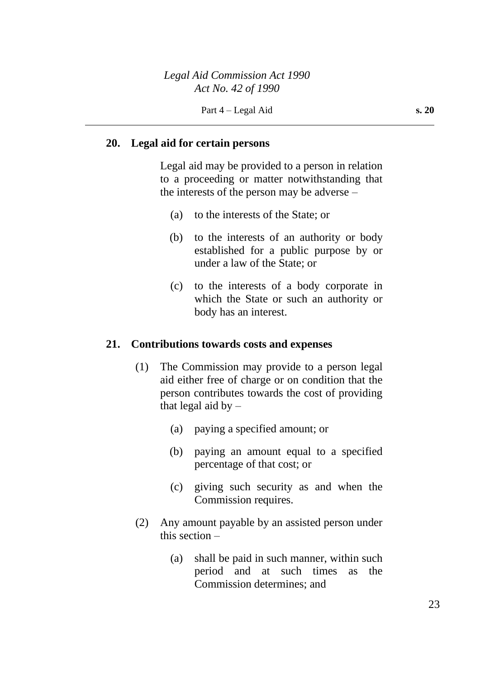#### **20. Legal aid for certain persons**

Legal aid may be provided to a person in relation to a proceeding or matter notwithstanding that the interests of the person may be adverse –

- (a) to the interests of the State; or
- (b) to the interests of an authority or body established for a public purpose by or under a law of the State; or
- (c) to the interests of a body corporate in which the State or such an authority or body has an interest.

#### **21. Contributions towards costs and expenses**

- (1) The Commission may provide to a person legal aid either free of charge or on condition that the person contributes towards the cost of providing that legal aid by  $-$ 
	- (a) paying a specified amount; or
	- (b) paying an amount equal to a specified percentage of that cost; or
	- (c) giving such security as and when the Commission requires.
- (2) Any amount payable by an assisted person under this section –
	- (a) shall be paid in such manner, within such period and at such times as the Commission determines; and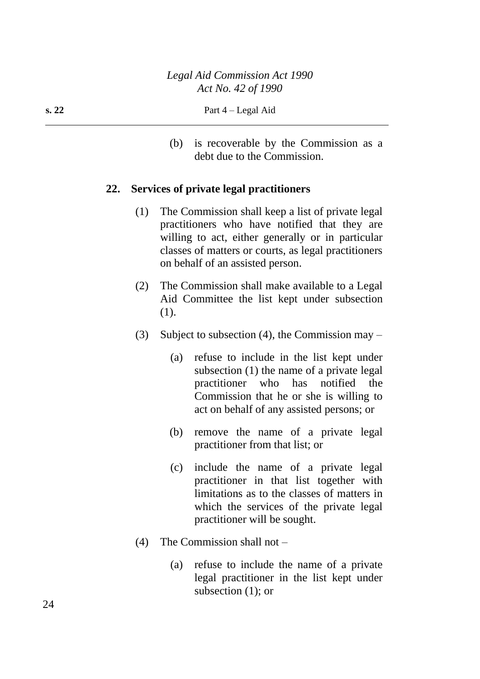(b) is recoverable by the Commission as a debt due to the Commission.

#### **22. Services of private legal practitioners**

- (1) The Commission shall keep a list of private legal practitioners who have notified that they are willing to act, either generally or in particular classes of matters or courts, as legal practitioners on behalf of an assisted person.
- (2) The Commission shall make available to a Legal Aid Committee the list kept under subsection (1).
- (3) Subject to subsection (4), the Commission may  $-$ 
	- (a) refuse to include in the list kept under subsection (1) the name of a private legal practitioner who has notified the Commission that he or she is willing to act on behalf of any assisted persons; or
	- (b) remove the name of a private legal practitioner from that list; or
	- (c) include the name of a private legal practitioner in that list together with limitations as to the classes of matters in which the services of the private legal practitioner will be sought.
- (4) The Commission shall not
	- (a) refuse to include the name of a private legal practitioner in the list kept under subsection (1); or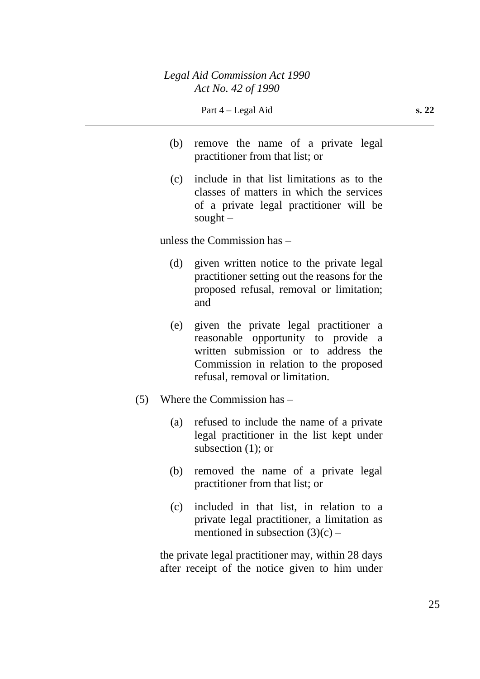- (b) remove the name of a private legal practitioner from that list; or
- (c) include in that list limitations as to the classes of matters in which the services of a private legal practitioner will be sought  $-$

unless the Commission has –

- (d) given written notice to the private legal practitioner setting out the reasons for the proposed refusal, removal or limitation; and
- (e) given the private legal practitioner a reasonable opportunity to provide a written submission or to address the Commission in relation to the proposed refusal, removal or limitation.
- (5) Where the Commission has
	- (a) refused to include the name of a private legal practitioner in the list kept under subsection (1); or
	- (b) removed the name of a private legal practitioner from that list; or
	- (c) included in that list, in relation to a private legal practitioner, a limitation as mentioned in subsection  $(3)(c)$  –

the private legal practitioner may, within 28 days after receipt of the notice given to him under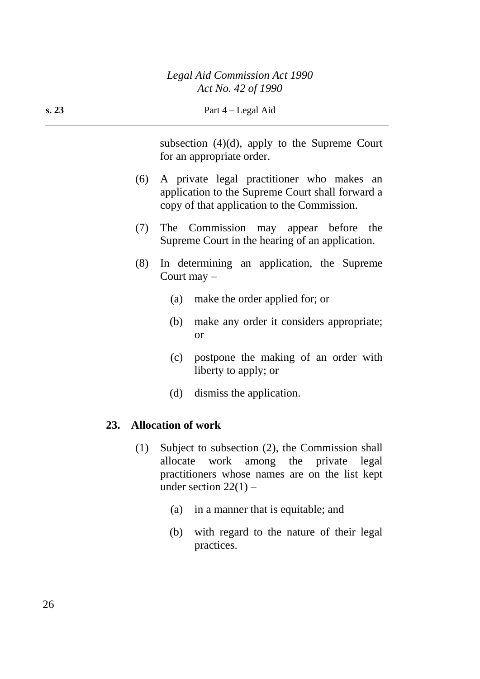| s. 23 | Part 4 – Legal Aid |                                                                                                                                                                                      |  |
|-------|--------------------|--------------------------------------------------------------------------------------------------------------------------------------------------------------------------------------|--|
|       |                    | subsection $(4)(d)$ , apply to the Supreme Court<br>for an appropriate order.                                                                                                        |  |
|       | (6)                | A private legal practitioner who makes an<br>application to the Supreme Court shall forward a<br>copy of that application to the Commission.                                         |  |
|       | (7)                | The<br>Commission<br>may appear before<br>the<br>Supreme Court in the hearing of an application.                                                                                     |  |
|       | (8)                | In determining an application, the Supreme<br>Court may $-$                                                                                                                          |  |
|       |                    | (a)<br>make the order applied for; or                                                                                                                                                |  |
|       |                    | make any order it considers appropriate;<br>(b)<br><b>or</b>                                                                                                                         |  |
|       |                    | (c)<br>postpone the making of an order with<br>liberty to apply; or                                                                                                                  |  |
|       |                    | (d)<br>dismiss the application.                                                                                                                                                      |  |
| 23.   |                    | <b>Allocation of work</b>                                                                                                                                                            |  |
|       | (1)                | Subject to subsection (2), the Commission shall<br>work<br>the<br>allocate<br>among<br>private<br>legal<br>practitioners whose names are on the list kept<br>under section $22(1)$ – |  |
|       |                    | (a) in a manner that is equitable; and                                                                                                                                               |  |

(b) with regard to the nature of their legal practices.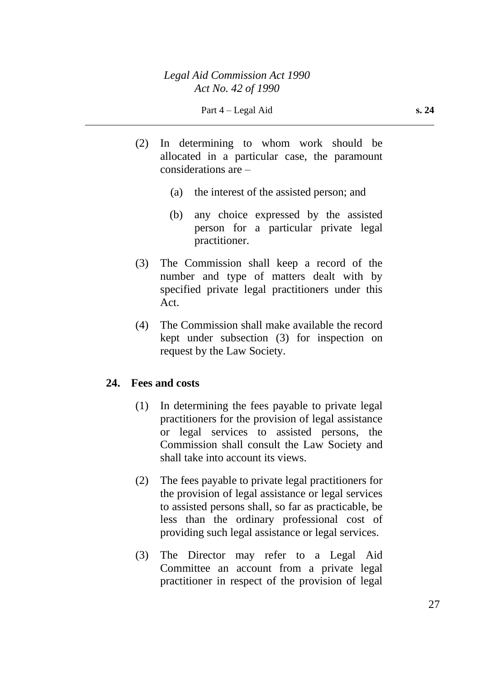- (2) In determining to whom work should be allocated in a particular case, the paramount considerations are –
	- (a) the interest of the assisted person; and
	- (b) any choice expressed by the assisted person for a particular private legal practitioner.
- (3) The Commission shall keep a record of the number and type of matters dealt with by specified private legal practitioners under this Act.
- (4) The Commission shall make available the record kept under subsection (3) for inspection on request by the Law Society.

### **24. Fees and costs**

- (1) In determining the fees payable to private legal practitioners for the provision of legal assistance or legal services to assisted persons, the Commission shall consult the Law Society and shall take into account its views.
- (2) The fees payable to private legal practitioners for the provision of legal assistance or legal services to assisted persons shall, so far as practicable, be less than the ordinary professional cost of providing such legal assistance or legal services.
- (3) The Director may refer to a Legal Aid Committee an account from a private legal practitioner in respect of the provision of legal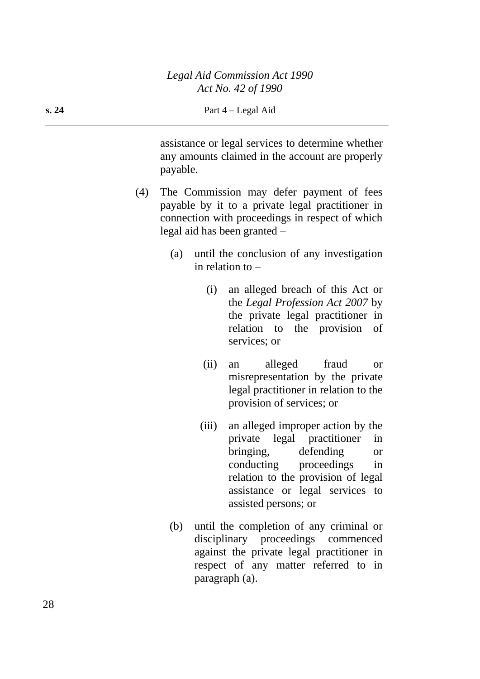assistance or legal services to determine whether any amounts claimed in the account are properly payable.

- (4) The Commission may defer payment of fees payable by it to a private legal practitioner in connection with proceedings in respect of which legal aid has been granted –
	- (a) until the conclusion of any investigation in relation to –
		- (i) an alleged breach of this Act or the *Legal Profession Act 2007* by the private legal practitioner in relation to the provision of services; or
		- (ii) an alleged fraud or misrepresentation by the private legal practitioner in relation to the provision of services; or
		- (iii) an alleged improper action by the private legal practitioner in bringing, defending or conducting proceedings in relation to the provision of legal assistance or legal services to assisted persons; or
	- (b) until the completion of any criminal or disciplinary proceedings commenced against the private legal practitioner in respect of any matter referred to in paragraph (a).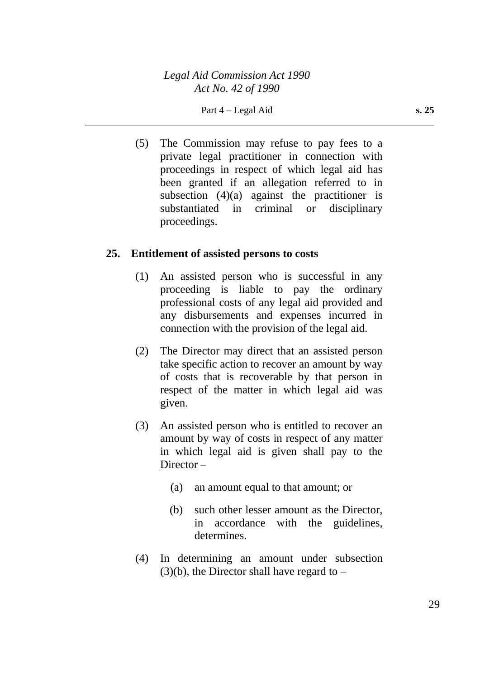(5) The Commission may refuse to pay fees to a private legal practitioner in connection with proceedings in respect of which legal aid has been granted if an allegation referred to in subsection  $(4)(a)$  against the practitioner is substantiated in criminal or disciplinary proceedings.

### **25. Entitlement of assisted persons to costs**

- (1) An assisted person who is successful in any proceeding is liable to pay the ordinary professional costs of any legal aid provided and any disbursements and expenses incurred in connection with the provision of the legal aid.
- (2) The Director may direct that an assisted person take specific action to recover an amount by way of costs that is recoverable by that person in respect of the matter in which legal aid was given.
- (3) An assisted person who is entitled to recover an amount by way of costs in respect of any matter in which legal aid is given shall pay to the Director –
	- (a) an amount equal to that amount; or
	- (b) such other lesser amount as the Director, in accordance with the guidelines, determines.
- (4) In determining an amount under subsection  $(3)(b)$ , the Director shall have regard to –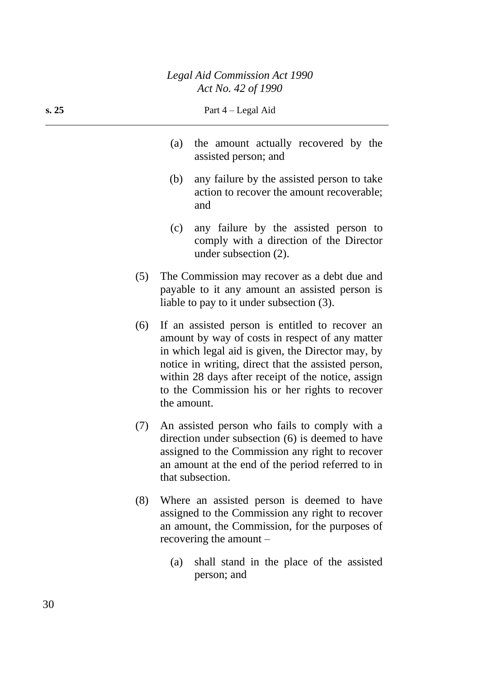| s. 25 |     | Part $4 -$ Legal Aid                                                                                                                                                                                           |
|-------|-----|----------------------------------------------------------------------------------------------------------------------------------------------------------------------------------------------------------------|
|       | (a) | the amount actually recovered by the<br>assisted person; and                                                                                                                                                   |
|       | (b) | any failure by the assisted person to take<br>action to recover the amount recoverable;<br>and                                                                                                                 |
|       | (c) | any failure by the assisted person to<br>comply with a direction of the Director<br>under subsection $(2)$ .                                                                                                   |
| (5)   |     | The Commission may recover as a debt due and<br>payable to it any amount an assisted person is<br>liable to pay to it under subsection (3).                                                                    |
| (6)   |     | If an assisted person is entitled to recover an<br>amount by way of costs in respect of any matter<br>in which legal aid is given, the Director may, by<br>notice in writing, direct that the assisted person, |

- within 28 days after receipt of the notice, assign to the Commission his or her rights to recover the amount. (7) An assisted person who fails to comply with a
- direction under subsection (6) is deemed to have assigned to the Commission any right to recover an amount at the end of the period referred to in that subsection.
- (8) Where an assisted person is deemed to have assigned to the Commission any right to recover an amount, the Commission, for the purposes of recovering the amount –
	- (a) shall stand in the place of the assisted person; and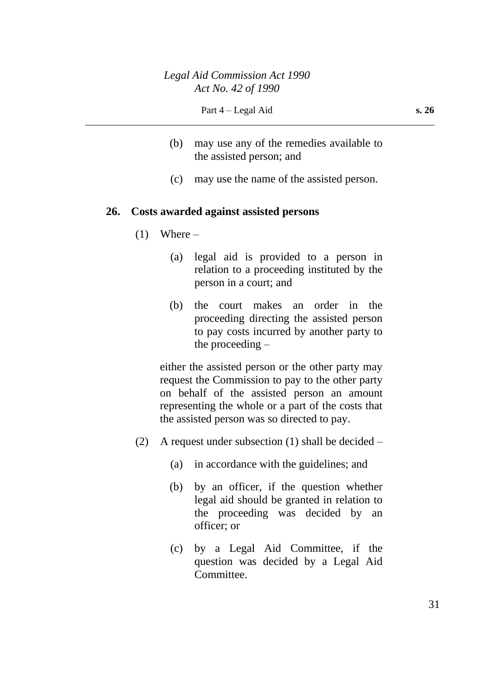- (b) may use any of the remedies available to the assisted person; and
- (c) may use the name of the assisted person.

#### **26. Costs awarded against assisted persons**

- $(1)$  Where
	- (a) legal aid is provided to a person in relation to a proceeding instituted by the person in a court; and
	- (b) the court makes an order in the proceeding directing the assisted person to pay costs incurred by another party to the proceeding –

either the assisted person or the other party may request the Commission to pay to the other party on behalf of the assisted person an amount representing the whole or a part of the costs that the assisted person was so directed to pay.

- (2) A request under subsection (1) shall be decided  $-$ 
	- (a) in accordance with the guidelines; and
	- (b) by an officer, if the question whether legal aid should be granted in relation to the proceeding was decided by an officer; or
	- (c) by a Legal Aid Committee, if the question was decided by a Legal Aid Committee.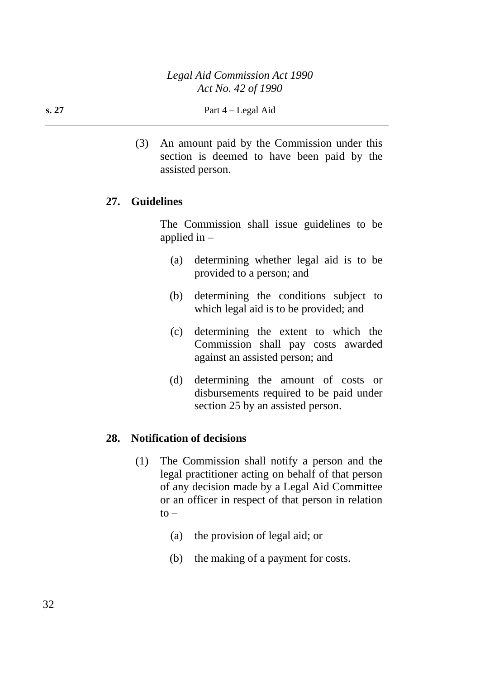(3) An amount paid by the Commission under this section is deemed to have been paid by the assisted person.

### **27. Guidelines**

The Commission shall issue guidelines to be applied in –

- (a) determining whether legal aid is to be provided to a person; and
- (b) determining the conditions subject to which legal aid is to be provided; and
- (c) determining the extent to which the Commission shall pay costs awarded against an assisted person; and
- (d) determining the amount of costs or disbursements required to be paid under section 25 by an assisted person.

### **28. Notification of decisions**

- (1) The Commission shall notify a person and the legal practitioner acting on behalf of that person of any decision made by a Legal Aid Committee or an officer in respect of that person in relation  $to -$ 
	- (a) the provision of legal aid; or
	- (b) the making of a payment for costs.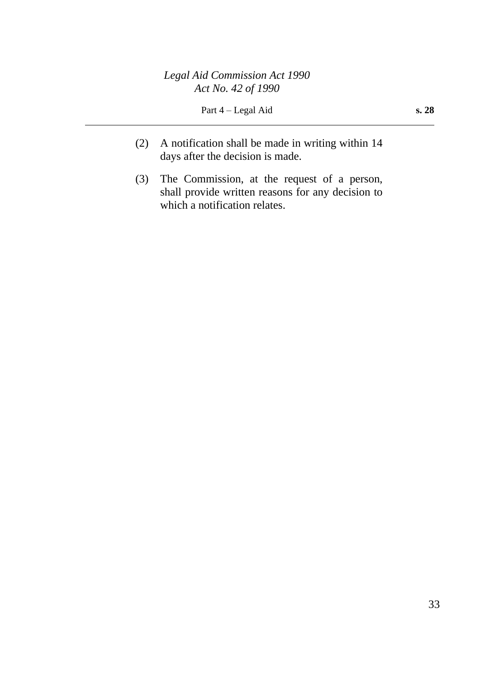- (2) A notification shall be made in writing within 14 days after the decision is made.
- (3) The Commission, at the request of a person, shall provide written reasons for any decision to which a notification relates.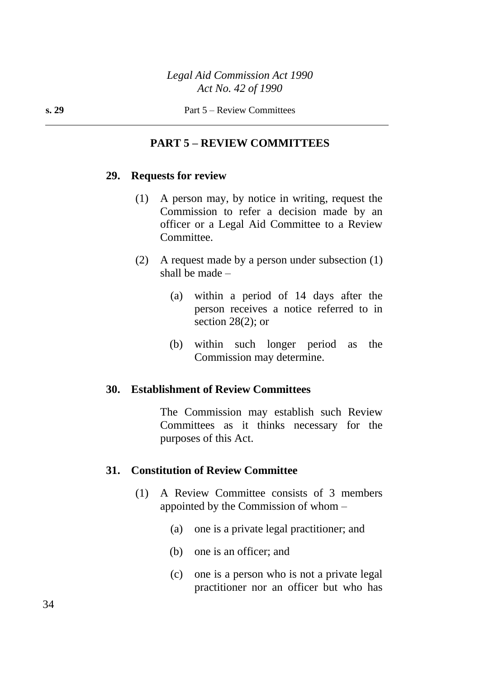### **PART 5 – REVIEW COMMITTEES**

#### **29. Requests for review**

- (1) A person may, by notice in writing, request the Commission to refer a decision made by an officer or a Legal Aid Committee to a Review Committee.
- (2) A request made by a person under subsection (1) shall be made –
	- (a) within a period of 14 days after the person receives a notice referred to in section  $28(2)$ ; or
	- (b) within such longer period as the Commission may determine.

#### **30. Establishment of Review Committees**

The Commission may establish such Review Committees as it thinks necessary for the purposes of this Act.

#### **31. Constitution of Review Committee**

- (1) A Review Committee consists of 3 members appointed by the Commission of whom –
	- (a) one is a private legal practitioner; and
	- (b) one is an officer; and
	- (c) one is a person who is not a private legal practitioner nor an officer but who has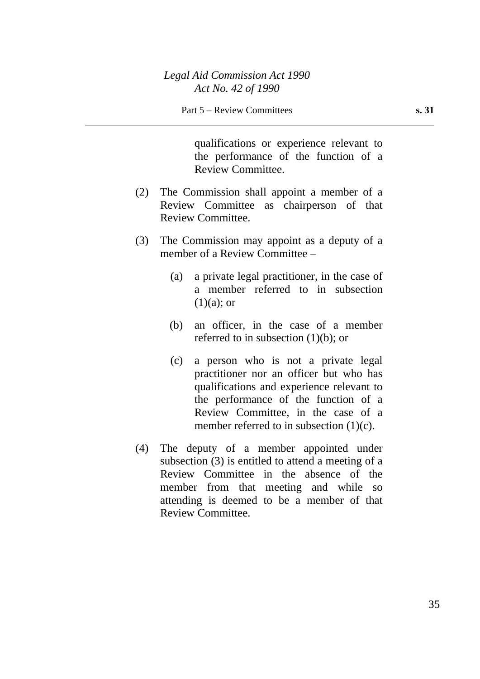qualifications or experience relevant to the performance of the function of a Review Committee.

- (2) The Commission shall appoint a member of a Review Committee as chairperson of that Review Committee.
- (3) The Commission may appoint as a deputy of a member of a Review Committee –
	- (a) a private legal practitioner, in the case of a member referred to in subsection  $(1)(a)$ ; or
	- (b) an officer, in the case of a member referred to in subsection  $(1)(b)$ ; or
	- (c) a person who is not a private legal practitioner nor an officer but who has qualifications and experience relevant to the performance of the function of a Review Committee, in the case of a member referred to in subsection  $(1)(c)$ .
- (4) The deputy of a member appointed under subsection (3) is entitled to attend a meeting of a Review Committee in the absence of the member from that meeting and while so attending is deemed to be a member of that Review Committee.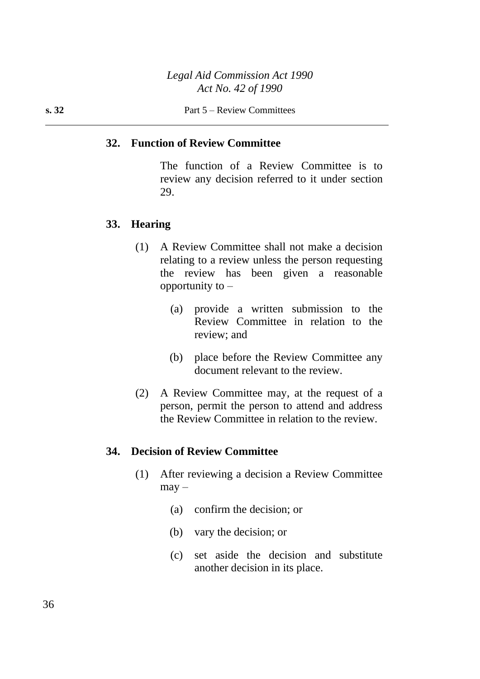#### **32. Function of Review Committee**

The function of a Review Committee is to review any decision referred to it under section 29.

#### **33. Hearing**

- (1) A Review Committee shall not make a decision relating to a review unless the person requesting the review has been given a reasonable opportunity to  $-$ 
	- (a) provide a written submission to the Review Committee in relation to the review; and
	- (b) place before the Review Committee any document relevant to the review.
- (2) A Review Committee may, at the request of a person, permit the person to attend and address the Review Committee in relation to the review.

#### **34. Decision of Review Committee**

- (1) After reviewing a decision a Review Committee  $may -$ 
	- (a) confirm the decision; or
	- (b) vary the decision; or
	- (c) set aside the decision and substitute another decision in its place.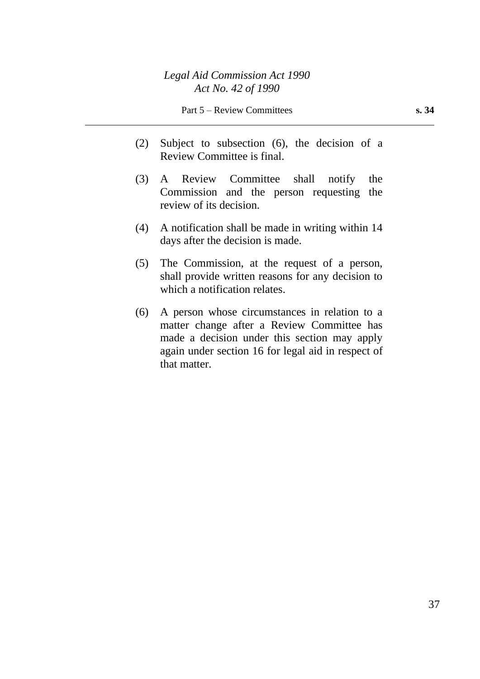- (2) Subject to subsection (6), the decision of a Review Committee is final.
- (3) A Review Committee shall notify the Commission and the person requesting the review of its decision.
- (4) A notification shall be made in writing within 14 days after the decision is made.
- (5) The Commission, at the request of a person, shall provide written reasons for any decision to which a notification relates.
- (6) A person whose circumstances in relation to a matter change after a Review Committee has made a decision under this section may apply again under section 16 for legal aid in respect of that matter.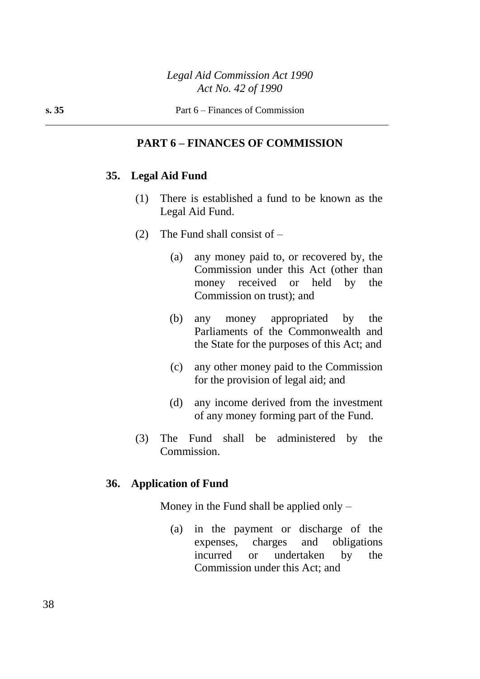### **PART 6 – FINANCES OF COMMISSION**

#### **35. Legal Aid Fund**

- (1) There is established a fund to be known as the Legal Aid Fund.
- (2) The Fund shall consist of
	- (a) any money paid to, or recovered by, the Commission under this Act (other than money received or held by the Commission on trust); and
	- (b) any money appropriated by the Parliaments of the Commonwealth and the State for the purposes of this Act; and
	- (c) any other money paid to the Commission for the provision of legal aid; and
	- (d) any income derived from the investment of any money forming part of the Fund.
- (3) The Fund shall be administered by the Commission.

#### **36. Application of Fund**

Money in the Fund shall be applied only  $-$ 

(a) in the payment or discharge of the expenses, charges and obligations incurred or undertaken by the Commission under this Act; and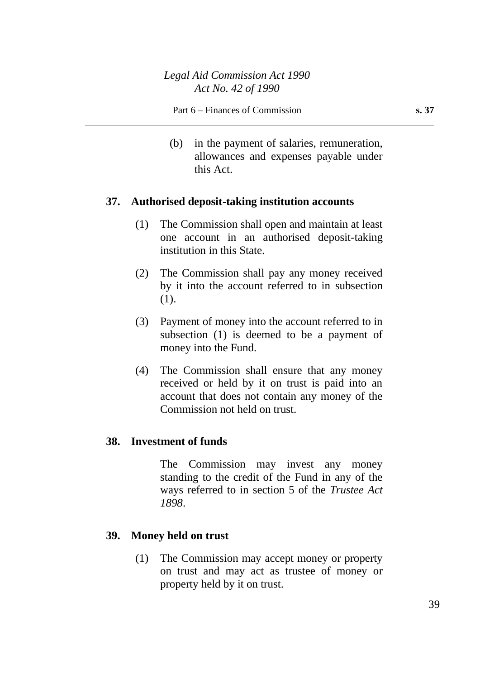(b) in the payment of salaries, remuneration, allowances and expenses payable under this Act.

#### **37. Authorised deposit-taking institution accounts**

- (1) The Commission shall open and maintain at least one account in an authorised deposit-taking institution in this State.
- (2) The Commission shall pay any money received by it into the account referred to in subsection (1).
- (3) Payment of money into the account referred to in subsection (1) is deemed to be a payment of money into the Fund.
- (4) The Commission shall ensure that any money received or held by it on trust is paid into an account that does not contain any money of the Commission not held on trust.

### **38. Investment of funds**

The Commission may invest any money standing to the credit of the Fund in any of the ways referred to in section 5 of the *Trustee Act 1898*.

### **39. Money held on trust**

(1) The Commission may accept money or property on trust and may act as trustee of money or property held by it on trust.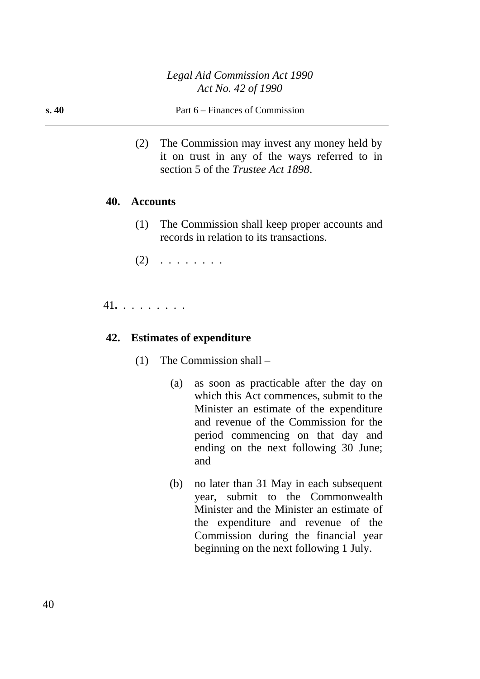#### **s. 40** Part 6 – Finances of Commission

(2) The Commission may invest any money held by it on trust in any of the ways referred to in section 5 of the *Trustee Act 1898*.

#### **40. Accounts**

- (1) The Commission shall keep proper accounts and records in relation to its transactions.
- $(2)$  . . . . . . . .

### 41**.** . . . . . . . .

#### **42. Estimates of expenditure**

- (1) The Commission shall
	- (a) as soon as practicable after the day on which this Act commences, submit to the Minister an estimate of the expenditure and revenue of the Commission for the period commencing on that day and ending on the next following 30 June; and
	- (b) no later than 31 May in each subsequent year, submit to the Commonwealth Minister and the Minister an estimate of the expenditure and revenue of the Commission during the financial year beginning on the next following 1 July.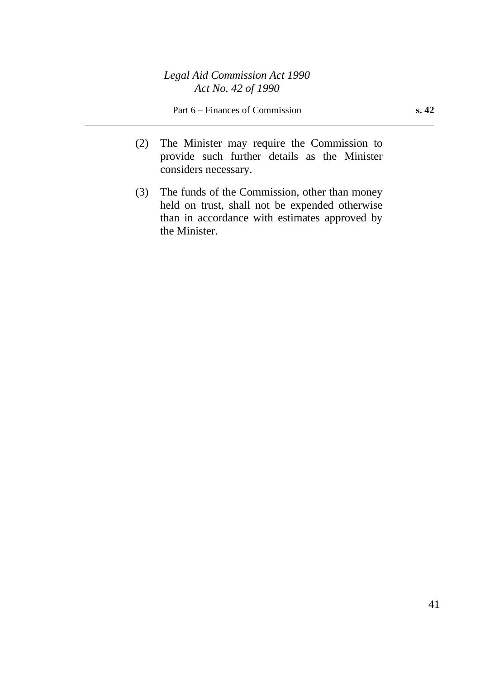- (2) The Minister may require the Commission to provide such further details as the Minister considers necessary.
- (3) The funds of the Commission, other than money held on trust, shall not be expended otherwise than in accordance with estimates approved by the Minister.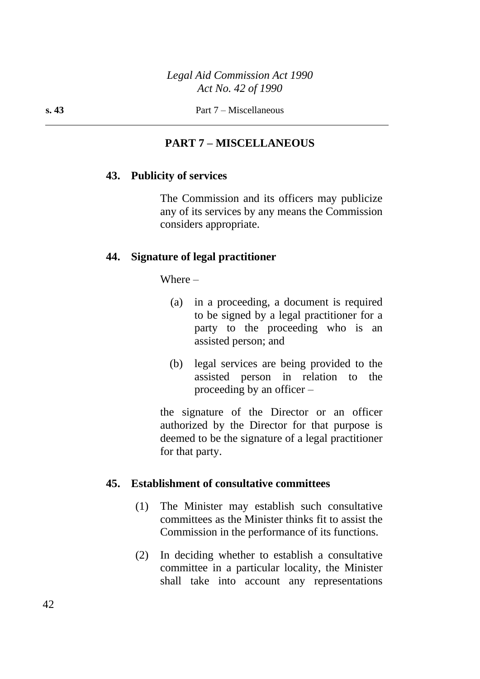## **PART 7 – MISCELLANEOUS**

#### **43. Publicity of services**

The Commission and its officers may publicize any of its services by any means the Commission considers appropriate.

#### **44. Signature of legal practitioner**

Where –

- (a) in a proceeding, a document is required to be signed by a legal practitioner for a party to the proceeding who is an assisted person; and
- (b) legal services are being provided to the assisted person in relation to the proceeding by an officer –

the signature of the Director or an officer authorized by the Director for that purpose is deemed to be the signature of a legal practitioner for that party.

#### **45. Establishment of consultative committees**

- (1) The Minister may establish such consultative committees as the Minister thinks fit to assist the Commission in the performance of its functions.
- (2) In deciding whether to establish a consultative committee in a particular locality, the Minister shall take into account any representations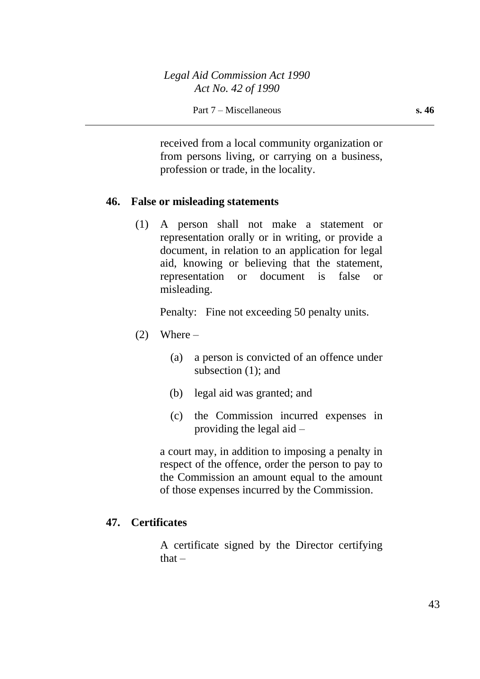received from a local community organization or from persons living, or carrying on a business, profession or trade, in the locality.

### **46. False or misleading statements**

(1) A person shall not make a statement or representation orally or in writing, or provide a document, in relation to an application for legal aid, knowing or believing that the statement, representation or document is false or misleading.

Penalty: Fine not exceeding 50 penalty units.

- $(2)$  Where
	- (a) a person is convicted of an offence under subsection (1); and
	- (b) legal aid was granted; and
	- (c) the Commission incurred expenses in providing the legal aid –

a court may, in addition to imposing a penalty in respect of the offence, order the person to pay to the Commission an amount equal to the amount of those expenses incurred by the Commission.

### **47. Certificates**

A certificate signed by the Director certifying that  $-$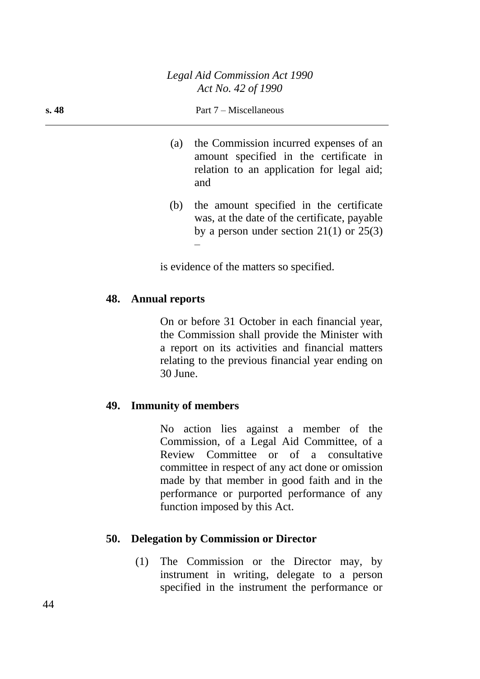#### **s. 48** Part 7 – Miscellaneous

- (a) the Commission incurred expenses of an amount specified in the certificate in relation to an application for legal aid; and
- (b) the amount specified in the certificate was, at the date of the certificate, payable by a person under section  $21(1)$  or  $25(3)$ –

is evidence of the matters so specified.

#### **48. Annual reports**

On or before 31 October in each financial year, the Commission shall provide the Minister with a report on its activities and financial matters relating to the previous financial year ending on 30 June.

### **49. Immunity of members**

No action lies against a member of the Commission, of a Legal Aid Committee, of a Review Committee or of a consultative committee in respect of any act done or omission made by that member in good faith and in the performance or purported performance of any function imposed by this Act.

#### **50. Delegation by Commission or Director**

(1) The Commission or the Director may, by instrument in writing, delegate to a person specified in the instrument the performance or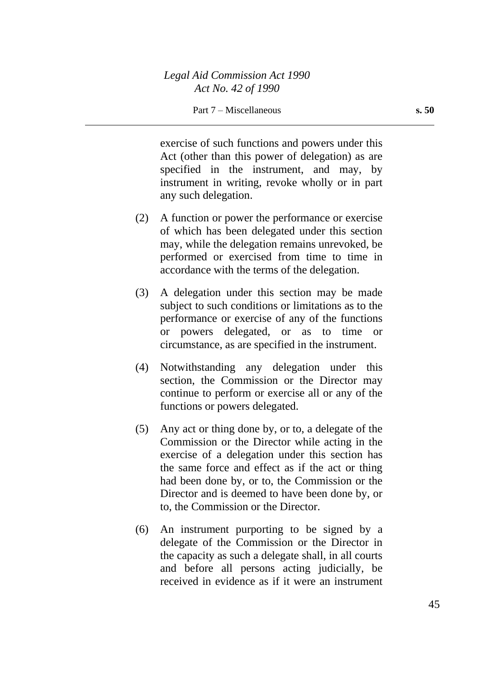exercise of such functions and powers under this Act (other than this power of delegation) as are specified in the instrument, and may, by instrument in writing, revoke wholly or in part any such delegation.

- (2) A function or power the performance or exercise of which has been delegated under this section may, while the delegation remains unrevoked, be performed or exercised from time to time in accordance with the terms of the delegation.
- (3) A delegation under this section may be made subject to such conditions or limitations as to the performance or exercise of any of the functions or powers delegated, or as to time or circumstance, as are specified in the instrument.
- (4) Notwithstanding any delegation under this section, the Commission or the Director may continue to perform or exercise all or any of the functions or powers delegated.
- (5) Any act or thing done by, or to, a delegate of the Commission or the Director while acting in the exercise of a delegation under this section has the same force and effect as if the act or thing had been done by, or to, the Commission or the Director and is deemed to have been done by, or to, the Commission or the Director.
- (6) An instrument purporting to be signed by a delegate of the Commission or the Director in the capacity as such a delegate shall, in all courts and before all persons acting judicially, be received in evidence as if it were an instrument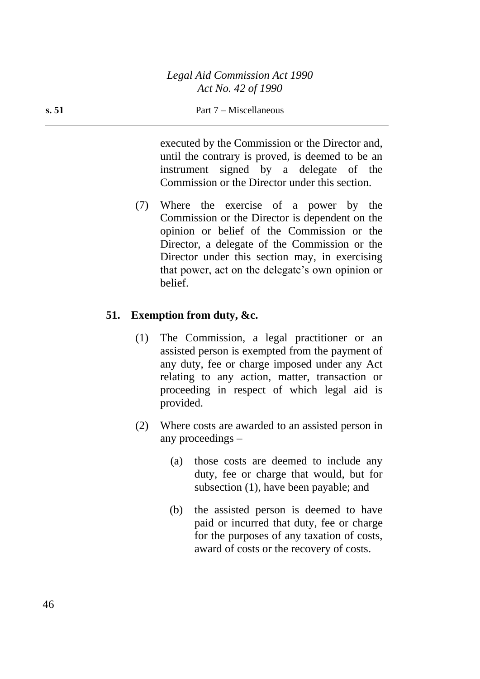executed by the Commission or the Director and, until the contrary is proved, is deemed to be an instrument signed by a delegate of the Commission or the Director under this section.

(7) Where the exercise of a power by the Commission or the Director is dependent on the opinion or belief of the Commission or the Director, a delegate of the Commission or the Director under this section may, in exercising that power, act on the delegate's own opinion or belief.

### **51. Exemption from duty, &c.**

- (1) The Commission, a legal practitioner or an assisted person is exempted from the payment of any duty, fee or charge imposed under any Act relating to any action, matter, transaction or proceeding in respect of which legal aid is provided.
- (2) Where costs are awarded to an assisted person in any proceedings –
	- (a) those costs are deemed to include any duty, fee or charge that would, but for subsection (1), have been payable; and
	- (b) the assisted person is deemed to have paid or incurred that duty, fee or charge for the purposes of any taxation of costs, award of costs or the recovery of costs.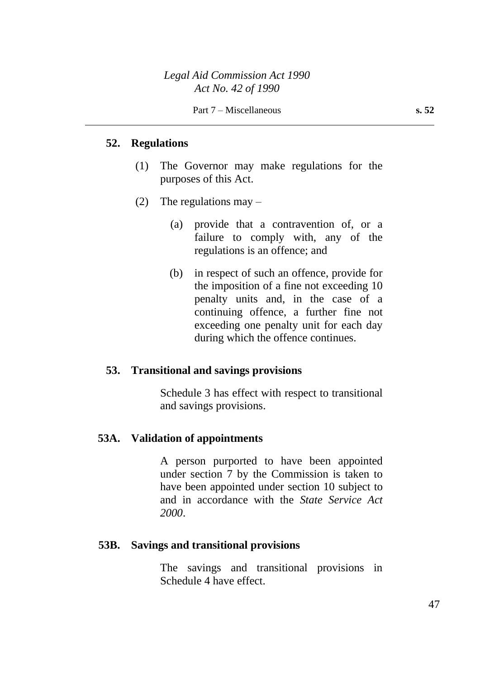#### **52. Regulations**

- (1) The Governor may make regulations for the purposes of this Act.
- (2) The regulations may  $-$ 
	- (a) provide that a contravention of, or a failure to comply with, any of the regulations is an offence; and
	- (b) in respect of such an offence, provide for the imposition of a fine not exceeding 10 penalty units and, in the case of a continuing offence, a further fine not exceeding one penalty unit for each day during which the offence continues.

#### **53. Transitional and savings provisions**

Schedule 3 has effect with respect to transitional and savings provisions.

### **53A. Validation of appointments**

A person purported to have been appointed under section 7 by the Commission is taken to have been appointed under section 10 subject to and in accordance with the *State Service Act 2000*.

#### **53B. Savings and transitional provisions**

The savings and transitional provisions in Schedule 4 have effect.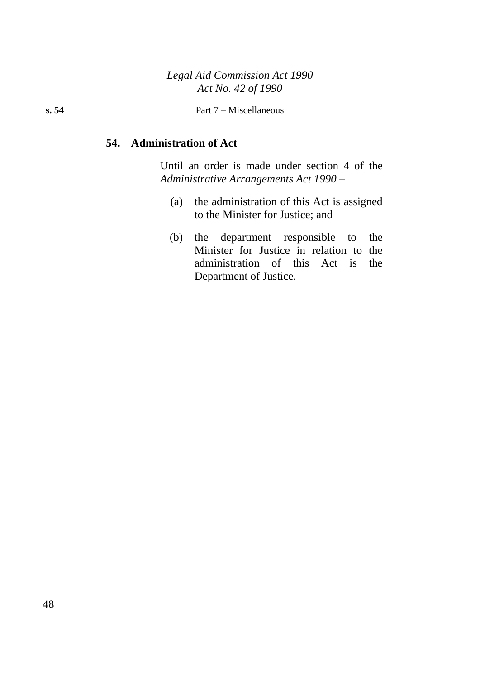### **54. Administration of Act**

Until an order is made under section 4 of the *Administrative Arrangements Act 1990* –

- (a) the administration of this Act is assigned to the Minister for Justice; and
- (b) the department responsible to the Minister for Justice in relation to the administration of this Act is the Department of Justice.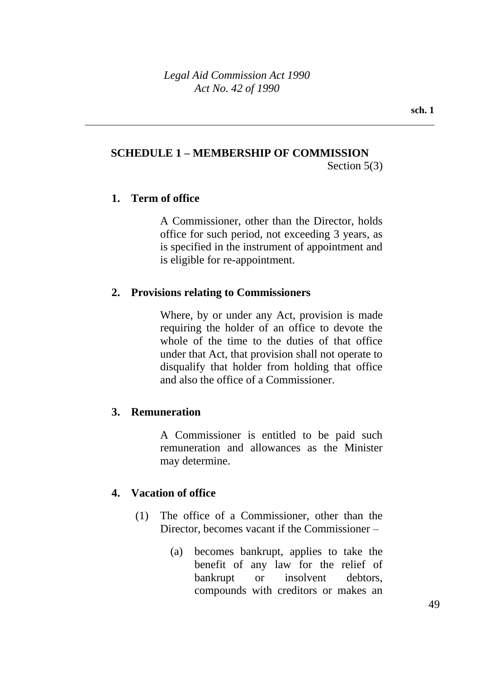## **SCHEDULE 1 – MEMBERSHIP OF COMMISSION**

Section 5(3)

### **1. Term of office**

A Commissioner, other than the Director, holds office for such period, not exceeding 3 years, as is specified in the instrument of appointment and is eligible for re-appointment.

### **2. Provisions relating to Commissioners**

Where, by or under any Act, provision is made requiring the holder of an office to devote the whole of the time to the duties of that office under that Act, that provision shall not operate to disqualify that holder from holding that office and also the office of a Commissioner.

### **3. Remuneration**

A Commissioner is entitled to be paid such remuneration and allowances as the Minister may determine.

### **4. Vacation of office**

- (1) The office of a Commissioner, other than the Director, becomes vacant if the Commissioner –
	- (a) becomes bankrupt, applies to take the benefit of any law for the relief of bankrupt or insolvent debtors, compounds with creditors or makes an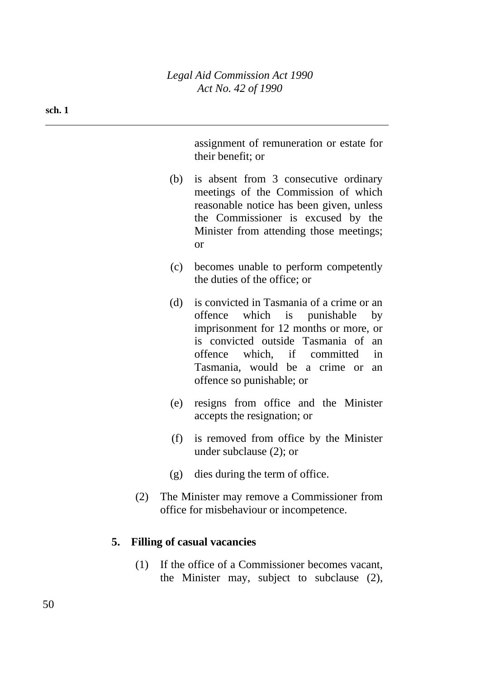assignment of remuneration or estate for their benefit; or

- (b) is absent from 3 consecutive ordinary meetings of the Commission of which reasonable notice has been given, unless the Commissioner is excused by the Minister from attending those meetings; or
- (c) becomes unable to perform competently the duties of the office; or
- (d) is convicted in Tasmania of a crime or an offence which is punishable by imprisonment for 12 months or more, or is convicted outside Tasmania of an offence which, if committed in Tasmania, would be a crime or an offence so punishable; or
- (e) resigns from office and the Minister accepts the resignation; or
- (f) is removed from office by the Minister under subclause (2); or
- (g) dies during the term of office.
- (2) The Minister may remove a Commissioner from office for misbehaviour or incompetence.

### **5. Filling of casual vacancies**

(1) If the office of a Commissioner becomes vacant, the Minister may, subject to subclause (2),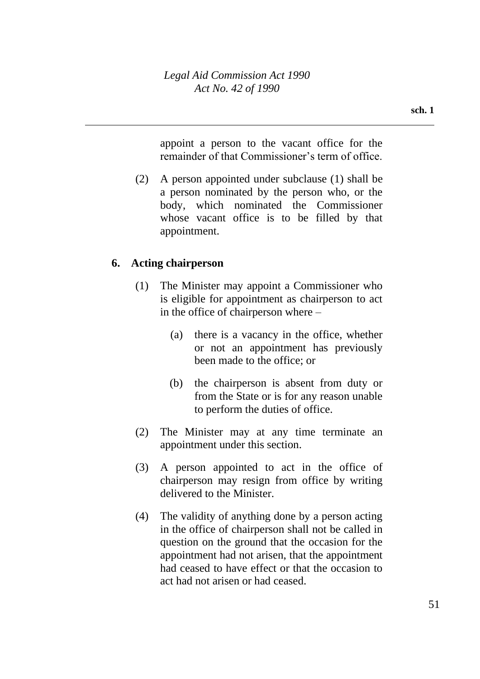appoint a person to the vacant office for the remainder of that Commissioner's term of office.

(2) A person appointed under subclause (1) shall be a person nominated by the person who, or the body, which nominated the Commissioner whose vacant office is to be filled by that appointment.

## **6. Acting chairperson**

- (1) The Minister may appoint a Commissioner who is eligible for appointment as chairperson to act in the office of chairperson where –
	- (a) there is a vacancy in the office, whether or not an appointment has previously been made to the office; or
	- (b) the chairperson is absent from duty or from the State or is for any reason unable to perform the duties of office.
- (2) The Minister may at any time terminate an appointment under this section.
- (3) A person appointed to act in the office of chairperson may resign from office by writing delivered to the Minister.
- (4) The validity of anything done by a person acting in the office of chairperson shall not be called in question on the ground that the occasion for the appointment had not arisen, that the appointment had ceased to have effect or that the occasion to act had not arisen or had ceased.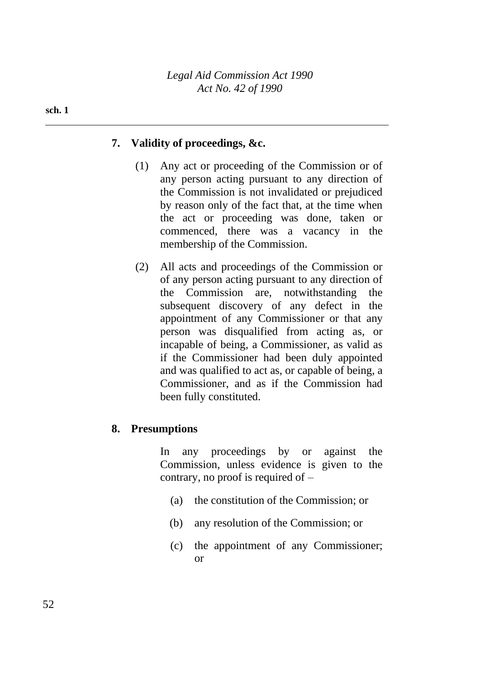*Legal Aid Commission Act 1990 Act No. 42 of 1990*

#### **sch. 1**

### **7. Validity of proceedings, &c.**

- (1) Any act or proceeding of the Commission or of any person acting pursuant to any direction of the Commission is not invalidated or prejudiced by reason only of the fact that, at the time when the act or proceeding was done, taken or commenced, there was a vacancy in the membership of the Commission.
- (2) All acts and proceedings of the Commission or of any person acting pursuant to any direction of the Commission are, notwithstanding the subsequent discovery of any defect in the appointment of any Commissioner or that any person was disqualified from acting as, or incapable of being, a Commissioner, as valid as if the Commissioner had been duly appointed and was qualified to act as, or capable of being, a Commissioner, and as if the Commission had been fully constituted.

### **8. Presumptions**

In any proceedings by or against the Commission, unless evidence is given to the contrary, no proof is required of –

- (a) the constitution of the Commission; or
- (b) any resolution of the Commission; or
- (c) the appointment of any Commissioner; or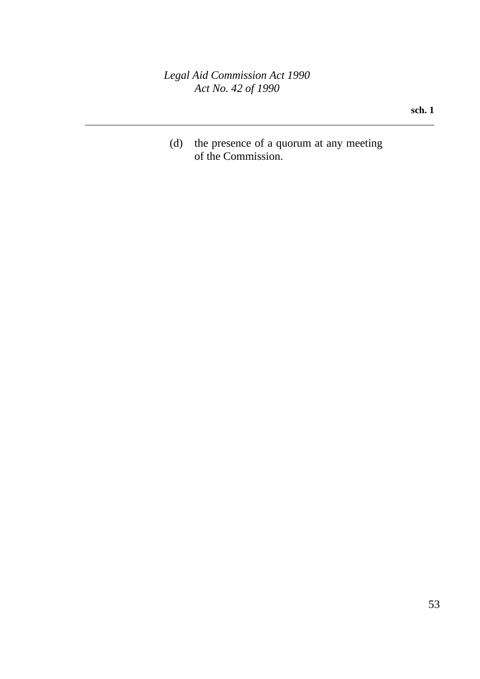*Legal Aid Commission Act 1990 Act No. 42 of 1990*

**sch. 1**

(d) the presence of a quorum at any meeting of the Commission.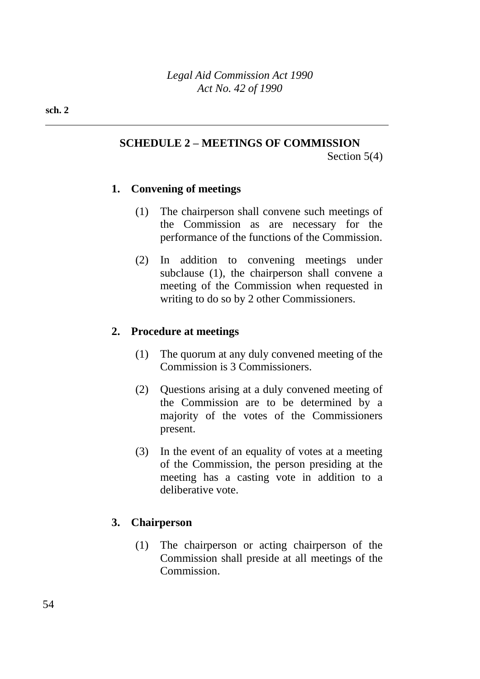### **SCHEDULE 2 – MEETINGS OF COMMISSION**

Section 5(4)

### **1. Convening of meetings**

- (1) The chairperson shall convene such meetings of the Commission as are necessary for the performance of the functions of the Commission.
- (2) In addition to convening meetings under subclause (1), the chairperson shall convene a meeting of the Commission when requested in writing to do so by 2 other Commissioners.

### **2. Procedure at meetings**

- (1) The quorum at any duly convened meeting of the Commission is 3 Commissioners.
- (2) Questions arising at a duly convened meeting of the Commission are to be determined by a majority of the votes of the Commissioners present.
- (3) In the event of an equality of votes at a meeting of the Commission, the person presiding at the meeting has a casting vote in addition to a deliberative vote.

### **3. Chairperson**

(1) The chairperson or acting chairperson of the Commission shall preside at all meetings of the Commission.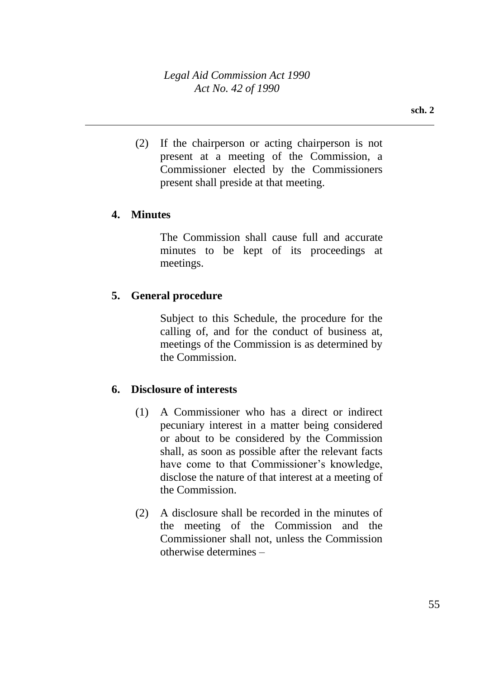(2) If the chairperson or acting chairperson is not present at a meeting of the Commission, a Commissioner elected by the Commissioners present shall preside at that meeting.

### **4. Minutes**

The Commission shall cause full and accurate minutes to be kept of its proceedings at meetings.

### **5. General procedure**

Subject to this Schedule, the procedure for the calling of, and for the conduct of business at, meetings of the Commission is as determined by the Commission.

### **6. Disclosure of interests**

- (1) A Commissioner who has a direct or indirect pecuniary interest in a matter being considered or about to be considered by the Commission shall, as soon as possible after the relevant facts have come to that Commissioner's knowledge, disclose the nature of that interest at a meeting of the Commission.
- (2) A disclosure shall be recorded in the minutes of the meeting of the Commission and the Commissioner shall not, unless the Commission otherwise determines –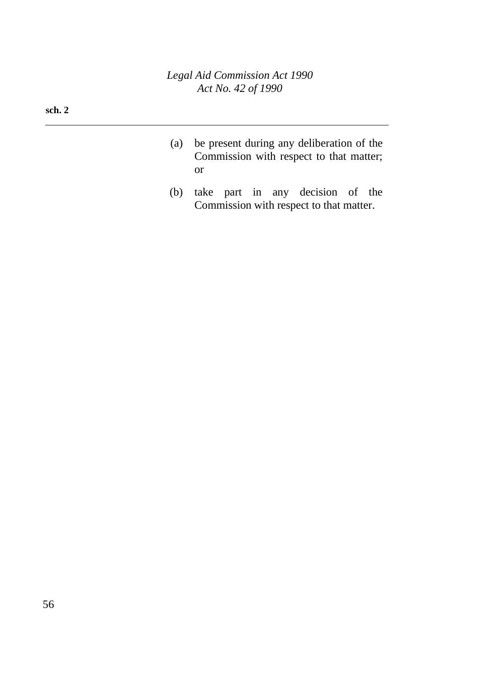*Legal Aid Commission Act 1990 Act No. 42 of 1990*

#### **sch. 2**

- (a) be present during any deliberation of the Commission with respect to that matter; or
- (b) take part in any decision of the Commission with respect to that matter.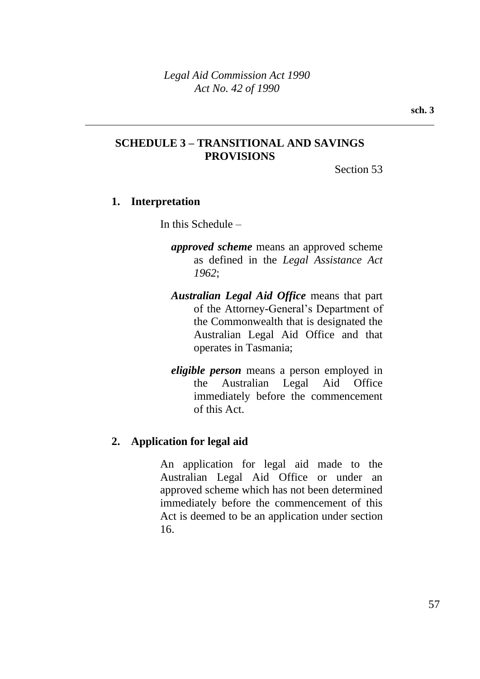### **SCHEDULE 3 – TRANSITIONAL AND SAVINGS PROVISIONS**

Section 53

### **1. Interpretation**

In this Schedule –

- *approved scheme* means an approved scheme as defined in the *Legal Assistance Act 1962*;
- *Australian Legal Aid Office* means that part of the Attorney-General's Department of the Commonwealth that is designated the Australian Legal Aid Office and that operates in Tasmania;
- *eligible person* means a person employed in the Australian Legal Aid Office immediately before the commencement of this Act.

### **2. Application for legal aid**

An application for legal aid made to the Australian Legal Aid Office or under an approved scheme which has not been determined immediately before the commencement of this Act is deemed to be an application under section 16.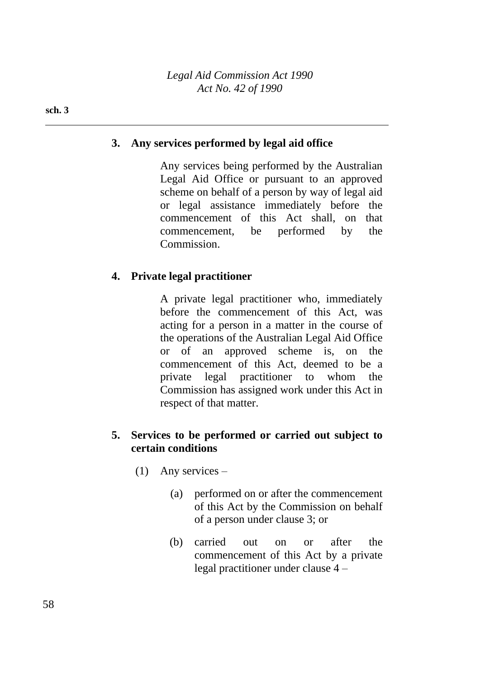*Legal Aid Commission Act 1990 Act No. 42 of 1990*

#### **sch. 3**

### **3. Any services performed by legal aid office**

Any services being performed by the Australian Legal Aid Office or pursuant to an approved scheme on behalf of a person by way of legal aid or legal assistance immediately before the commencement of this Act shall, on that commencement, be performed by the Commission.

#### **4. Private legal practitioner**

A private legal practitioner who, immediately before the commencement of this Act, was acting for a person in a matter in the course of the operations of the Australian Legal Aid Office or of an approved scheme is, on the commencement of this Act, deemed to be a private legal practitioner to whom the Commission has assigned work under this Act in respect of that matter.

### **5. Services to be performed or carried out subject to certain conditions**

- (1) Any services
	- (a) performed on or after the commencement of this Act by the Commission on behalf of a person under clause 3; or
	- (b) carried out on or after the commencement of this Act by a private legal practitioner under clause 4 –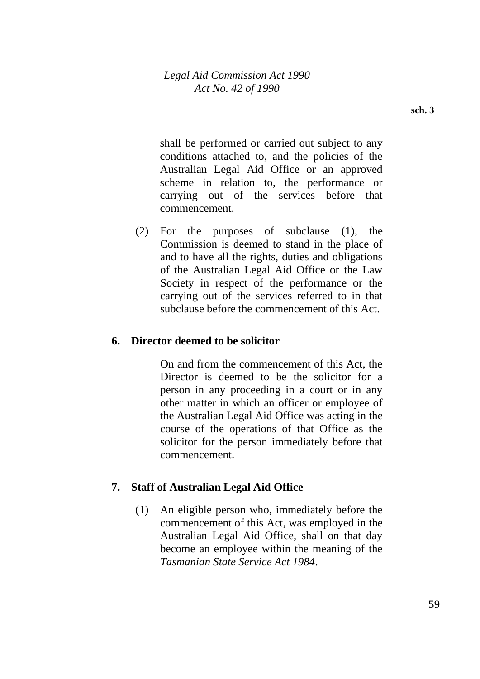shall be performed or carried out subject to any conditions attached to, and the policies of the Australian Legal Aid Office or an approved scheme in relation to, the performance or carrying out of the services before that commencement.

(2) For the purposes of subclause (1), the Commission is deemed to stand in the place of and to have all the rights, duties and obligations of the Australian Legal Aid Office or the Law Society in respect of the performance or the carrying out of the services referred to in that subclause before the commencement of this Act.

### **6. Director deemed to be solicitor**

On and from the commencement of this Act, the Director is deemed to be the solicitor for a person in any proceeding in a court or in any other matter in which an officer or employee of the Australian Legal Aid Office was acting in the course of the operations of that Office as the solicitor for the person immediately before that commencement.

## **7. Staff of Australian Legal Aid Office**

(1) An eligible person who, immediately before the commencement of this Act, was employed in the Australian Legal Aid Office, shall on that day become an employee within the meaning of the *Tasmanian State Service Act 1984*.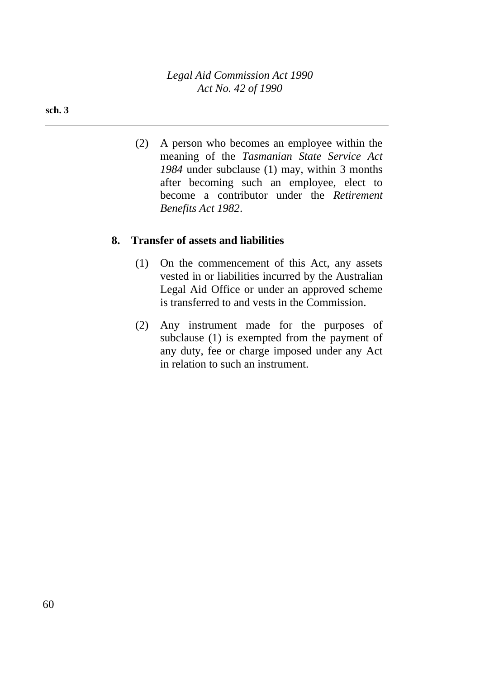*Legal Aid Commission Act 1990 Act No. 42 of 1990*

#### **sch. 3**

(2) A person who becomes an employee within the meaning of the *Tasmanian State Service Act 1984* under subclause (1) may, within 3 months after becoming such an employee, elect to become a contributor under the *Retirement Benefits Act 1982*.

### **8. Transfer of assets and liabilities**

- (1) On the commencement of this Act, any assets vested in or liabilities incurred by the Australian Legal Aid Office or under an approved scheme is transferred to and vests in the Commission.
- (2) Any instrument made for the purposes of subclause (1) is exempted from the payment of any duty, fee or charge imposed under any Act in relation to such an instrument.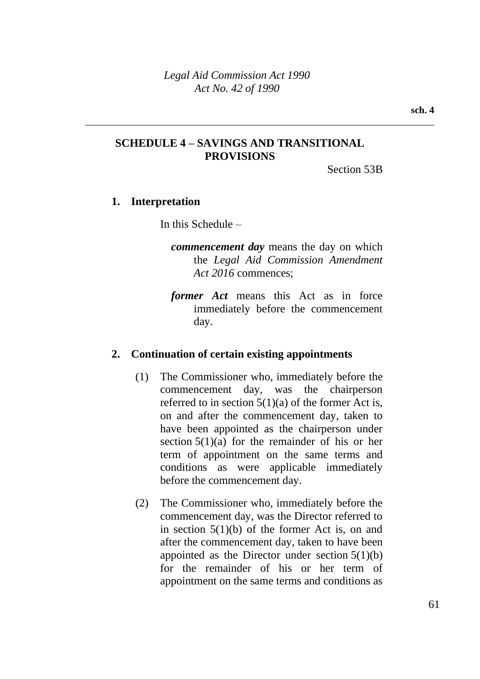### **SCHEDULE 4 – SAVINGS AND TRANSITIONAL PROVISIONS**

Section 53B

### **1. Interpretation**

In this Schedule –

- *commencement day* means the day on which the *Legal Aid Commission Amendment Act 2016* commences;
- *former Act* means this Act as in force immediately before the commencement day.

### **2. Continuation of certain existing appointments**

- (1) The Commissioner who, immediately before the commencement day, was the chairperson referred to in section  $5(1)(a)$  of the former Act is, on and after the commencement day, taken to have been appointed as the chairperson under section  $5(1)(a)$  for the remainder of his or her term of appointment on the same terms and conditions as were applicable immediately before the commencement day.
- (2) The Commissioner who, immediately before the commencement day, was the Director referred to in section 5(1)(b) of the former Act is, on and after the commencement day, taken to have been appointed as the Director under section  $5(1)(b)$ for the remainder of his or her term of appointment on the same terms and conditions as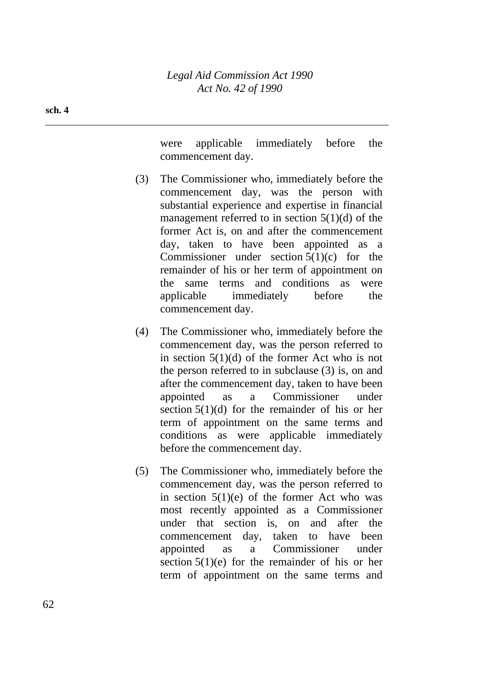were applicable immediately before the commencement day.

- (3) The Commissioner who, immediately before the commencement day, was the person with substantial experience and expertise in financial management referred to in section  $5(1)(d)$  of the former Act is, on and after the commencement day, taken to have been appointed as a Commissioner under section  $5(1)(c)$  for the remainder of his or her term of appointment on the same terms and conditions as were applicable immediately before the commencement day.
- (4) The Commissioner who, immediately before the commencement day, was the person referred to in section 5(1)(d) of the former Act who is not the person referred to in subclause (3) is, on and after the commencement day, taken to have been appointed as a Commissioner under section  $5(1)(d)$  for the remainder of his or her term of appointment on the same terms and conditions as were applicable immediately before the commencement day.
- (5) The Commissioner who, immediately before the commencement day, was the person referred to in section  $5(1)(e)$  of the former Act who was most recently appointed as a Commissioner under that section is, on and after the commencement day, taken to have been appointed as a Commissioner under section 5(1)(e) for the remainder of his or her term of appointment on the same terms and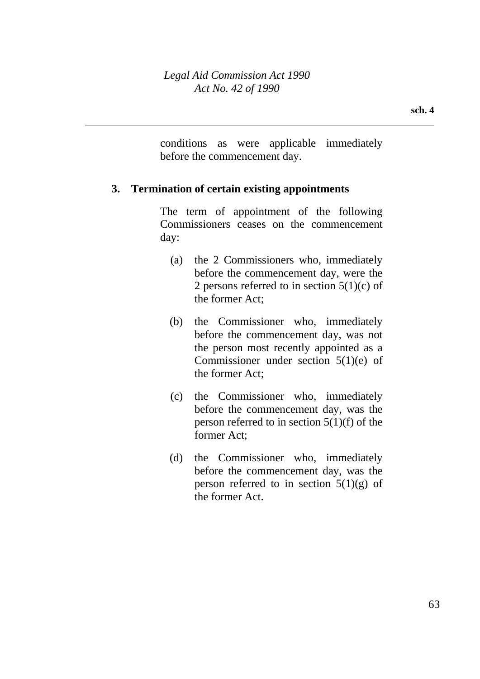conditions as were applicable immediately before the commencement day.

### **3. Termination of certain existing appointments**

The term of appointment of the following Commissioners ceases on the commencement day:

- (a) the 2 Commissioners who, immediately before the commencement day, were the 2 persons referred to in section  $5(1)(c)$  of the former Act;
- (b) the Commissioner who, immediately before the commencement day, was not the person most recently appointed as a Commissioner under section 5(1)(e) of the former Act;
- (c) the Commissioner who, immediately before the commencement day, was the person referred to in section 5(1)(f) of the former Act;
- (d) the Commissioner who, immediately before the commencement day, was the person referred to in section  $5(1)(g)$  of the former Act.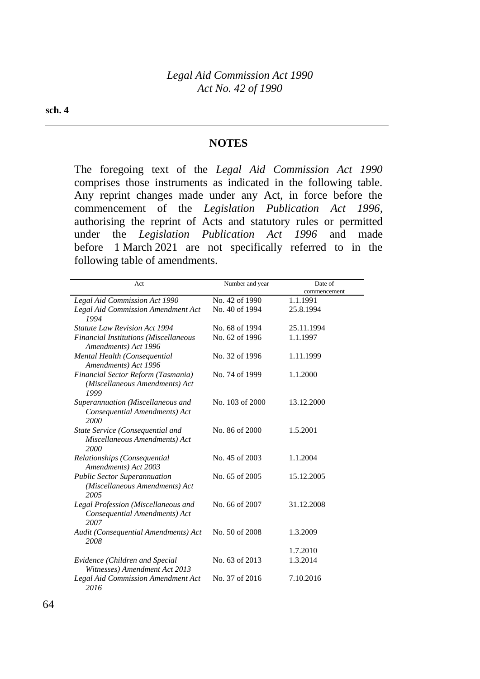#### **NOTES**

The foregoing text of the *Legal Aid Commission Act 1990* comprises those instruments as indicated in the following table. Any reprint changes made under any Act, in force before the commencement of the *Legislation Publication Act 1996*, authorising the reprint of Acts and statutory rules or permitted under the *Legislation Publication Act 1996* and made before 1 March 2021 are not specifically referred to in the following table of amendments.

| Act                                                                           | Number and year | Date of      |
|-------------------------------------------------------------------------------|-----------------|--------------|
|                                                                               |                 | commencement |
| Legal Aid Commission Act 1990                                                 | No. 42 of 1990  | 1.1.1991     |
| Legal Aid Commission Amendment Act<br>1994                                    | No. 40 of 1994  | 25.8.1994    |
| <b>Statute Law Revision Act 1994</b>                                          | No. 68 of 1994  | 25.11.1994   |
| <b>Financial Institutions (Miscellaneous</b><br>Amendments) Act 1996          | No. 62 of 1996  | 1.1.1997     |
| Mental Health (Consequential<br>Amendments) Act 1996                          | No. 32 of 1996  | 1.11.1999    |
| Financial Sector Reform (Tasmania)<br>(Miscellaneous Amendments) Act<br>1999  | No. 74 of 1999  | 1.1.2000     |
| Superannuation (Miscellaneous and<br>Consequential Amendments) Act<br>2000    | No. 103 of 2000 | 13.12.2000   |
| State Service (Consequential and<br>Miscellaneous Amendments) Act<br>2000     | No. 86 of 2000  | 1.5.2001     |
| Relationships (Consequential<br>Amendments) Act 2003                          | No. 45 of 2003  | 1.1.2004     |
| <b>Public Sector Superannuation</b><br>(Miscellaneous Amendments) Act<br>2005 | No. 65 of 2005  | 15.12.2005   |
| Legal Profession (Miscellaneous and<br>Consequential Amendments) Act<br>2007  | No. 66 of 2007  | 31.12.2008   |
| Audit (Consequential Amendments) Act<br>2008                                  | No. 50 of 2008  | 1.3.2009     |
|                                                                               |                 | 1.7.2010     |
| Evidence (Children and Special<br>Witnesses) Amendment Act 2013               | No. 63 of 2013  | 1.3.2014     |
| Legal Aid Commission Amendment Act<br>2016                                    | No. 37 of 2016  | 7.10.2016    |